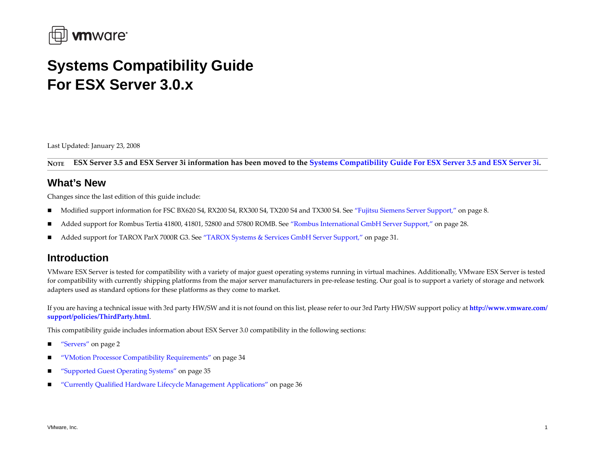

# **Systems Compatibility Guide For ESX Server 3.0.x**

Last Updated: January 23, 2008

**NOTE**ESX Server 3.5 and ESX Server 3i information has been moved to the Systems [Compatibility](http://www.vmware.com/pdf/vi35_systems_guide.pdf) Guide For ESX Server 3.5 and ESX Server 3i.

### **What's New**

Changes since the last edition of this guide include:

- $\blacksquare$ Modified suppor<sup>t</sup> information for FSC BX620 S4, RX200 S4, RX300 S4, TX200 S4 and TX300 S4. See "Fujitsu Siemens Server [Support,"](#page-7-0) on page 8.
- Added suppor<sup>t</sup> for Rombus Tertia 41800, 41801, 52800 and 57800 ROMB. See "Rombus [International](#page-27-0) GmbH Server Support," on page 28.
- $\blacksquare$ Added suppor<sup>t</sup> for TAROX ParX 7000R G3. See "TAROX Systems & Services GmbH Server [Support,"](#page-30-0) on page 31.

### **Introduction**

VMware ESX Server is tested for compatibility with <sup>a</sup> variety of major gues<sup>t</sup> operating systems running in virtual machines. Additionally, VMware ESX Server is tested for compatibility with currently shipping platforms from the major server manufacturers in pre‐release testing. Our goal is to suppor<sup>t</sup> <sup>a</sup> variety of storage and network adapters used as standard options for these platforms as they come to market.

If you are having <sup>a</sup> technical issue with 3rd party HW/SW and it is not found on this list, please refer to our 3rd Party HW/SW suppor<sup>t</sup> policy at **[http://www.vmware.com/](http://www.vmware.com/support/policies/ThirdParty.html) suppor[t/policies/ThirdParty.html](http://www.vmware.com/support/policies/ThirdParty.html)**.

This compatibility guide includes information about ESX Server 3.0 compatibility in the following sections:

- п ["Servers"](#page-1-0) on page 2
- "VMotion Processor Compatibility [Requirements"](#page-33-0) on page 34
- ["Supported](#page-34-0) Guest Operating Systems" on page 35
- "Currently Qualified Hardware Lifecycle Management [Applications"](#page-35-0) on page 36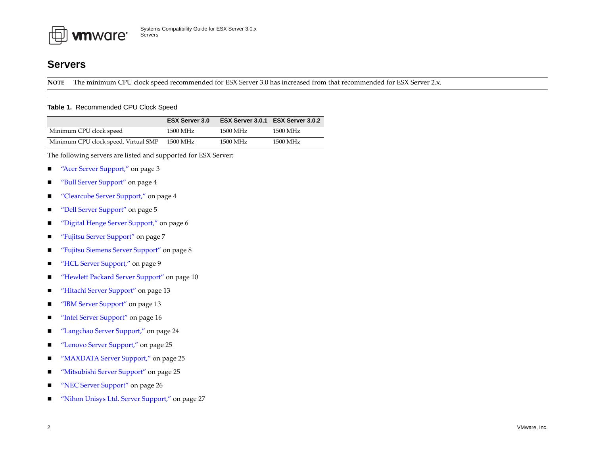

### <span id="page-1-0"></span>**Servers**

**NOTE** The minimum CPU clock speed recommended for ESX Server 3.0 has increased from that recommended for ESX Server 2.x.

#### **Table 1.** Recommended CPU Clock Speed

|                                      | <b>ESX Server 3.0</b> |          | ESX Server 3.0.1 ESX Server 3.0.2 |
|--------------------------------------|-----------------------|----------|-----------------------------------|
| Minimum CPU clock speed              | 1500 MHz              | 1500 MHz | 1500 MHz                          |
| Minimum CPU clock speed, Virtual SMP | 1500 MHz              | 1500 MHz | 1500 MHz                          |

The following servers are listed and supported for ESX Server:

- $\blacksquare$ "Acer Server [Support,"](#page-2-0) on page 3
- п "Bull Server [Support"](#page-3-0) on page <sup>4</sup>
- $\blacksquare$ "Clearcube Server [Support,"](#page-3-1) on page <sup>4</sup>
- п "Dell Server [Support"](#page-4-0) on page <sup>5</sup>
- п "Digital Henge Server [Support,"](#page-5-0) on page 6
- п "Fujitsu Server [Support"](#page-6-0) on page <sup>7</sup>
- $\blacksquare$ "Fujitsu Siemens Server [Support"](#page-7-0) on page 8
- $\blacksquare$ "HCL Server [Support,"](#page-8-0) on page 9
- "Hewlett Packard Server [Support"](#page-9-0) on page 10
- $\blacksquare$ "Hitachi Server [Support"](#page-12-0) on page 13
- $\blacksquare$ ■ "IBM Server [Support"](#page-12-1) on page 13
- п "Intel Server [Support"](#page-15-0) on page 16
- п ["Langchao](#page-23-0) Server Support," on page <sup>24</sup>
- $\blacksquare$ "Lenovo Server [Support,"](#page-24-1) on page 25
- п ■ *"*MAXDATA Server Support," on page 25
- п "Mitsubishi Server [Support"](#page-24-0) on page 25
- "NEC Server [Support"](#page-25-0) on page 26
- п "Nihon Unisys Ltd. Server [Support,"](#page-26-0) on page <sup>27</sup>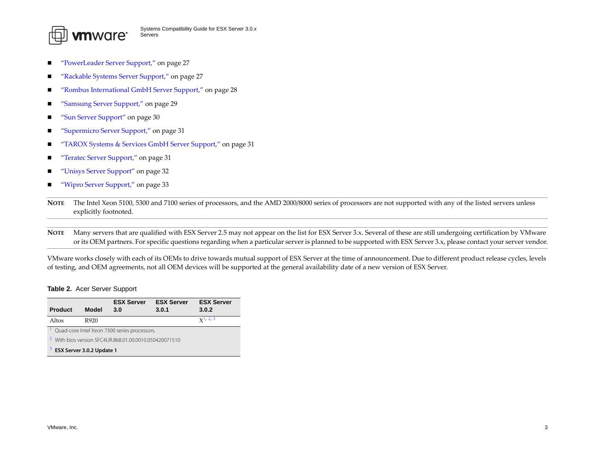

- ["PowerLeader](#page-26-2) Server Support," on page <sup>27</sup>
- "Rackable Systems Server [Support,"](#page-26-1) on page <sup>27</sup>
- п ■ *"*Rombus [International](#page-27-0) GmbH Server Support," on page 28
- ["Samsung](#page-28-0) Server Support," on page 29
- п "Sun Server [Support"](#page-29-0) on page 30
- п ["Supermicro](#page-30-1) Server Support," on page 31
- "TAROX Systems & Services GmbH Server [Support,"](#page-30-0) on page 31
- "Teratec Server [Support,"](#page-30-2) on page 31
- "Unisys Server [Support"](#page-31-0) on page 32
- $\blacksquare$ "Wipro Server [Support,"](#page-32-0) on page 33

**NOTE** The Intel Xeon 5100, 5300 and 7100 series of processors, and the AMD 2000/8000 series of processors are not supported with any of the listed servers unless explicitly footnoted.

**NOTE** Many servers that are qualified with ESX Server 2.5 may not appear on the list for ESX Server 3.x. Several of these are still undergoing certification by VMware or its OEM partners. For specific questions regarding when <sup>a</sup> particular server is planned to be supported with ESX Server 3.x, please contact your server vendor.

VMware works closely with each of its OEMs to drive towards mutual suppor<sup>t</sup> of ESX Server at the time of announcement. Due to different product release cycles, levels of testing, and OEM agreements, not all OEM devices will be supported at the general availability date of <sup>a</sup> new version of ESX Server.

#### <span id="page-2-0"></span>**Table 2.** Acer Server Support

<span id="page-2-3"></span><span id="page-2-2"></span><span id="page-2-1"></span>

| <b>Product</b>                                                    | <b>Model</b> | <b>ESX Server</b><br>3.0                     | <b>ESX Server</b><br>3.0.1 | <b>ESX Server</b><br>3.0.2 |
|-------------------------------------------------------------------|--------------|----------------------------------------------|----------------------------|----------------------------|
|                                                                   |              |                                              |                            |                            |
| Altos                                                             | R920         |                                              |                            | $x^{1,2,3}$                |
|                                                                   |              | Quad-core Intel Xeon 7300 series processors. |                            |                            |
| <sup>2</sup> With bios version SFC4UR.868.01.00.0010.050420071510 |              |                                              |                            |                            |
| <sup>3</sup> ESX Server 3.0.2 Update 1                            |              |                                              |                            |                            |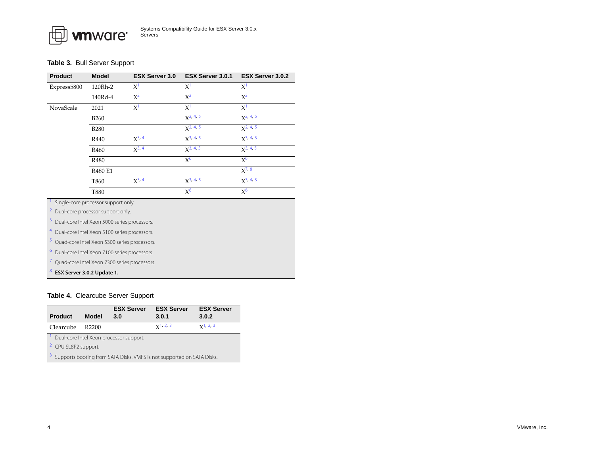#### <span id="page-3-0"></span>**Table 3.** Bull Server Support

| <b>Product</b>                                            | <b>Model</b>                                 | <b>ESX Server 3.0</b> | ESX Server 3.0.1 | <b>ESX Server 3.0.2</b> |
|-----------------------------------------------------------|----------------------------------------------|-----------------------|------------------|-------------------------|
| Express5800                                               | 120Rh-2                                      | $X^1$                 | $X^1$            | $X^1$                   |
|                                                           | 140Rd-4                                      | $X^2$                 | $X^2$            | $X^2$                   |
| NovaScale                                                 | 2021                                         | $X^1$                 | $X^1$            | $X^1$                   |
|                                                           | <b>B260</b>                                  |                       | $X2$ , 4, 5      | $X2$ , 4, 5             |
|                                                           | <b>B280</b>                                  |                       | $X^{2, 4, 5}$    | $X^2$ , 4, 5            |
|                                                           | R440                                         | $X^{3, 4}$            | $X^3$ , 4, 5     | $X^3$ , 4, 5            |
|                                                           | R460                                         | $X^{3, 4}$            | $X^{3, 4, 5}$    | $X^{3, 4, 5}$           |
|                                                           | R480                                         |                       | $X^6$            | $X^6$                   |
|                                                           | R480 E1                                      |                       |                  | $X^{7, 8}$              |
|                                                           | T860                                         | $X^{3, 4}$            | $X^{3, 4, 5}$    | $X^{3, 4, 5}$           |
|                                                           | T880                                         |                       | $X^6$            | $X^6$                   |
| <sup>1</sup> Single-core processor support only.          |                                              |                       |                  |                         |
| <sup>2</sup> Dual-core processor support only.            |                                              |                       |                  |                         |
| 3                                                         | Dual-core Intel Xeon 5000 series processors. |                       |                  |                         |
| <sup>4</sup> Dual-core Intel Xeon 5100 series processors. |                                              |                       |                  |                         |
| 5 Quad-core Intel Xeon 5300 series processors.            |                                              |                       |                  |                         |
| 6                                                         | Dual-core Intel Xeon 7100 series processors. |                       |                  |                         |
| 7 Quad-core Intel Xeon 7300 series processors.            |                                              |                       |                  |                         |
| <b>8 FSY Server 3 0 2 Undate 1</b>                        |                                              |                       |                  |                         |

# <span id="page-3-12"></span><span id="page-3-11"></span><span id="page-3-10"></span><span id="page-3-9"></span><span id="page-3-8"></span><span id="page-3-7"></span><span id="page-3-6"></span><span id="page-3-5"></span>**ESX Server 3.0.2 Update 1.**

#### <span id="page-3-1"></span>**Table 4.** Clearcube Server Support

<span id="page-3-4"></span><span id="page-3-3"></span><span id="page-3-2"></span>

|                                                                                     |       | <b>ESX Server</b> | <b>ESX Server</b> | <b>ESX Server</b> |
|-------------------------------------------------------------------------------------|-------|-------------------|-------------------|-------------------|
| <b>Product</b>                                                                      | Model | 3.0               | 3.0.1             | 3.0.2             |
| Clearcube                                                                           | R2200 |                   | $x^1$ , 2, 3      | $x^1$ , 2, 3      |
| Dual-core Intel Xeon processor support.                                             |       |                   |                   |                   |
| <sup>2</sup> CPU SL8P2 support.                                                     |       |                   |                   |                   |
| <sup>3</sup> Supports booting from SATA Disks. VMFS is not supported on SATA Disks. |       |                   |                   |                   |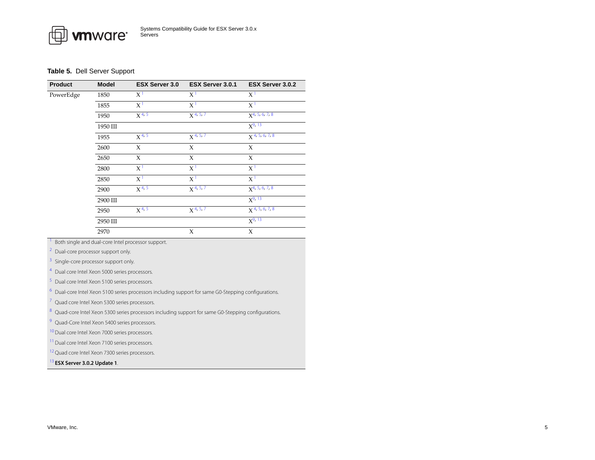#### <span id="page-4-0"></span>**Table 5.** Dell Server Support

| Product   | <b>Model</b> | <b>ESX Server 3.0</b> | ESX Server 3.0.1       | <b>ESX Server 3.0.2</b>      |
|-----------|--------------|-----------------------|------------------------|------------------------------|
| PowerEdge | 1850         | $X^1$                 | X <sup>1</sup>         | X <sup>1</sup>               |
|           | 1855         | $X^1$                 | X <sup>1</sup>         | $X^1$                        |
|           | 1950         | $X^{4, 5}$            | $X^{4, 5, 7}$          | $X^{4, 5, 6, 7, 8}$          |
|           | 1950 III     |                       |                        | $X^{9, 13}$                  |
|           | 1955         | $X^{4,5}$             | $X$ <sup>4, 5, 7</sup> | $X^{4, 5, 6, 7, 8}$          |
|           | 2600         | X                     | X                      | X                            |
|           | 2650         | X                     | X                      | X                            |
|           | 2800         | X <sup>1</sup>        | X <sup>1</sup>         | X <sup>1</sup>               |
|           | 2850         | X <sup>1</sup>        | X <sup>1</sup>         | $X^1$                        |
|           | 2900         | $X^{4, 5}$            | $X^{4, 5, 7}$          | $X^{4, 5, 6, 7, 8}$          |
|           | 2900 III     |                       |                        | $X^{9, 13}$                  |
|           | 2950         | $X^{4, 5}$            | $X^{4, 5, 7}$          | $X$ <sup>4, 5, 6, 7, 8</sup> |
|           | 2950 III     |                       |                        | $X^{9, 13}$                  |
|           | 2970         |                       | X                      | X                            |

<span id="page-4-1"></span>Both single and dual-core Intel processor support.

2Dual-core processor support only.

3Single-core processor support only.

<span id="page-4-2"></span>4Dual core Intel Xeon 5000 series processors.

<span id="page-4-3"></span>Dual core Intel Xeon 5100 series processors.

<span id="page-4-5"></span>Dual-core Intel Xeon 5100 series processors including support for same G0-Stepping configurations.

<span id="page-4-4"></span>7Quad core Intel Xeon 5300 series processors.

<span id="page-4-6"></span>Quad-core Intel Xeon 5300 series processors including support for same G0-Stepping configurations.

<span id="page-4-7"></span>9Quad-Core Intel Xeon 5400 series processors.

<span id="page-4-9"></span><sup>10</sup> Dual core Intel Xeon 7000 series processors.

<span id="page-4-10"></span><sup>11</sup> Dual core Intel Xeon 7100 series processors.

<span id="page-4-11"></span><sup>12</sup> Quad core Intel Xeon 7300 series processors.

<span id="page-4-8"></span>13 **ESX Server 3.0.2 Update 1**.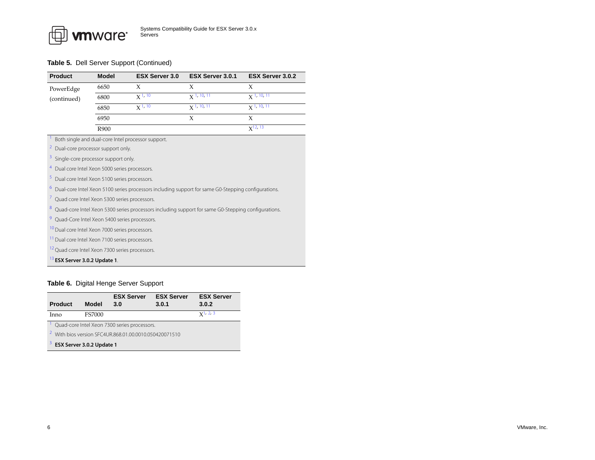| <b>Product</b>                                                 | <b>Model</b> | <b>ESX Server 3.0</b>                              | ESX Server 3.0.1                                                                                   | <b>ESX Server 3.0.2</b> |  |
|----------------------------------------------------------------|--------------|----------------------------------------------------|----------------------------------------------------------------------------------------------------|-------------------------|--|
| PowerEdge                                                      | 6650         | X                                                  | X                                                                                                  | X                       |  |
| (continued)                                                    | 6800         | $X^{1, 10}$                                        | $\chi$ 1, 10, 11                                                                                   | $\chi$ 1, 10, 11        |  |
|                                                                | 6850         | $\chi$ 1, 10                                       | $\chi$ 1, 10, 11                                                                                   | $\chi$ 1, 10, 11        |  |
|                                                                | 6950         |                                                    | X                                                                                                  | X                       |  |
|                                                                | R900         |                                                    |                                                                                                    | $X^{12, 13}$            |  |
|                                                                |              | Both single and dual-core Intel processor support. |                                                                                                    |                         |  |
| $\overline{z}$<br>Dual-core processor support only.            |              |                                                    |                                                                                                    |                         |  |
| 3<br>Single-core processor support only.                       |              |                                                    |                                                                                                    |                         |  |
| $\overline{4}$<br>Dual core Intel Xeon 5000 series processors. |              |                                                    |                                                                                                    |                         |  |
| 5<br>Dual core Intel Xeon 5100 series processors.              |              |                                                    |                                                                                                    |                         |  |
| $\ddot{\mathbf{6}}$                                            |              |                                                    | Dual-core Intel Xeon 5100 series processors including support for same G0-Stepping configurations. |                         |  |
| I.<br>Quad core Intel Xeon 5300 series processors.             |              |                                                    |                                                                                                    |                         |  |
| $\boldsymbol{8}$                                               |              |                                                    | Quad-core Intel Xeon 5300 series processors including support for same G0-Stepping configurations. |                         |  |
| 9<br>Quad-Core Intel Xeon 5400 series processors.              |              |                                                    |                                                                                                    |                         |  |
| <sup>10</sup> Dual core Intel Xeon 7000 series processors.     |              |                                                    |                                                                                                    |                         |  |
| <sup>11</sup> Dual core Intel Xeon 7100 series processors.     |              |                                                    |                                                                                                    |                         |  |
| <sup>12</sup> Quad core Intel Xeon 7300 series processors.     |              |                                                    |                                                                                                    |                         |  |
| <sup>13</sup> ESX Server 3.0.2 Update 1.                       |              |                                                    |                                                                                                    |                         |  |

#### <span id="page-5-0"></span>**Table 6.** Digital Henge Server Support

<span id="page-5-3"></span><span id="page-5-2"></span><span id="page-5-1"></span>

| <b>Product</b>                                                    | <b>Model</b>  | <b>ESX Server</b><br>3.0 | <b>ESX Server</b><br>3.0.1 | <b>ESX Server</b><br>3.0.2 |
|-------------------------------------------------------------------|---------------|--------------------------|----------------------------|----------------------------|
| Inno                                                              | <b>FS7000</b> |                          |                            | $x^{1,2,3}$                |
| Quad-core Intel Xeon 7300 series processors.                      |               |                          |                            |                            |
| <sup>2</sup> With bios version SFC4UR.868.01.00.0010.050420071510 |               |                          |                            |                            |
| $3$ ESX Server 3.0.2 Update 1                                     |               |                          |                            |                            |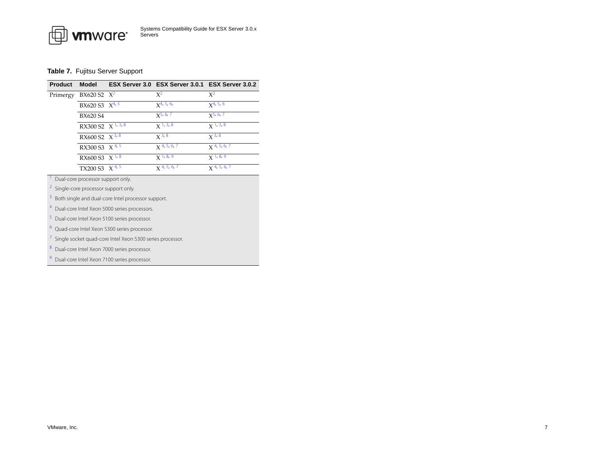#### <span id="page-6-0"></span>**Table 7.** Fujitsu Server Support

| <b>Product</b> | <b>Model</b>                   | ESX Server 3.0 ESX Server 3.0.1 ESX Server 3.0.2 |                           |
|----------------|--------------------------------|--------------------------------------------------|---------------------------|
| Primergy       | $BX620 S2 X^2$                 | $X^2$                                            | $X^2$                     |
|                | BX620 S3 X <sup>4, 5</sup>     | $x^{4, 5, 6}$                                    | $X^{4, 5, 6}$             |
|                | BX620 S4                       | $X^{5, 6, 7}$                                    | $X^{5, 6, 7}$             |
|                | RX300 S2 $X^{1,3,8}$           | $X$ <sup>1, 3, 8</sup>                           | $X$ <sup>1, 3, 8</sup>    |
|                | RX600 S2 $\ X$ <sup>3, 8</sup> | $x^3, 8$                                         | $\overline{\chi}$ 3, 8    |
|                | RX300 S3 $X^{4,5}$             | $\chi$ 4, 5, 6, 7                                | $X$ 4, 5, 6, 7            |
|                | RX600 S3 X <sup>1,8</sup>      | $X$ <sup>1, 8, 9</sup>                           | $X$ <sup>1, 8, 9</sup>    |
|                | TX200 S3 $\ X 4, 5$            | $X$ 4, 5, 6, 7                                   | $X$ <sup>4, 5, 6, 7</sup> |

<span id="page-6-6"></span>Dual-core processor support only.

<span id="page-6-1"></span>2Single-core processor support only.

<span id="page-6-7"></span>3Both single and dual-core Intel processor support.

<span id="page-6-2"></span>4Dual-core Intel Xeon 5000 series processors.

<span id="page-6-3"></span>Dual-core Intel Xeon 5100 series processor.

<span id="page-6-4"></span>Quad-core Intel Xeon 5300 series processor.

<span id="page-6-5"></span>7Single socket quad-core Intel Xeon 5300 series processor.

<span id="page-6-8"></span>Dual-core Intel Xeon 7000 series processor.

<span id="page-6-9"></span>9Dual-core Intel Xeon 7100 series processor.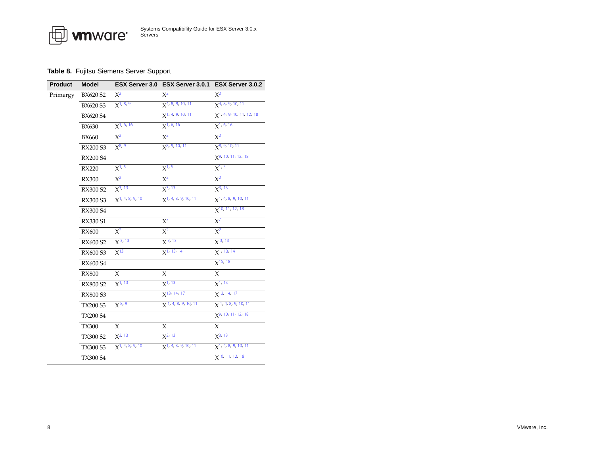| <b>vm</b> ware <sup>®</sup> | Systems Compatibility Guide for ESX Server 3.0.x<br>Servers |
|-----------------------------|-------------------------------------------------------------|
|-----------------------------|-------------------------------------------------------------|

### <span id="page-7-0"></span>**Table 8.** Fujitsu Siemens Server Support

₶

| <b>Product</b> | <b>Model</b>    |                                | ESX Server 3.0 ESX Server 3.0.1 ESX Server 3.0.2 |                                         |
|----------------|-----------------|--------------------------------|--------------------------------------------------|-----------------------------------------|
| Primergy       | BX620 S2        | $X^2$                          | $X^2$                                            | $X^2$                                   |
|                | <b>BX620 S3</b> | $X^{1, 8, 9}$                  | $X^{4, 8, 9, 10, 11}$                            | $X^{4, 8, 9, 10, 11}$                   |
|                | <b>BX620 S4</b> |                                | $X$ <sup>1, 4, 9, 10, 11</sup>                   | $X$ <sup>1</sup> , 4, 9, 10, 11, 12, 18 |
|                | <b>BX630</b>    | $X^{1, 6, 16}$                 | $X^{1, 6, 16}$                                   | $X1$ , 6, 16                            |
|                | <b>BX660</b>    | $X^2$                          | $X^2$                                            | $X^2$                                   |
|                | <b>RX200 S3</b> | $X^{8, 9}$                     | $X^8$ , 9, 10, 11                                | $x^{8, 9, 10, 11}$                      |
|                | <b>RX200 S4</b> |                                |                                                  | $X^{9, 10, 11, 12, 18}$                 |
|                | <b>RX220</b>    | $X^{1, 5}$                     | $X^{1, 5}$                                       | $X^{1, 5}$                              |
|                | <b>RX300</b>    | $X^2$                          | $X^2$                                            | $X^2$                                   |
|                | RX300 S2        | $X^{3, 13}$                    | $X^{3, 13}$                                      | $X^{3, 13}$                             |
|                | RX300 S3        | $X$ <sup>1</sup> , 4, 8, 9, 10 | $X$ <sup>1</sup> , 4, 8, 9, 10, 11               | $\chi$ <sup>1</sup> , 4, 8, 9, 10, 11   |
|                | <b>RX300 S4</b> |                                |                                                  | $X^{10, 11, 12, 18}$                    |
|                | <b>RX330 S1</b> |                                | $X^7$                                            | $X^7$                                   |
|                | <b>RX600</b>    | $X^2$                          | $X^2$                                            | $X^2$                                   |
|                | RX600 S2        | $X^{3, 13}$                    | $X^{3, 13}$                                      | $X^{3, 13}$                             |
|                | RX600 S3        | $X^{13}$                       | $X1$ , 13, 14                                    | $X^{1, 13, 14}$                         |
|                | <b>RX600 S4</b> |                                |                                                  | $X^{15, 18}$                            |
|                | <b>RX800</b>    | X                              | X                                                | $\chi$                                  |
|                | <b>RX800 S2</b> | $X^{1, 13}$                    | $X^{1, 13}$                                      | $X^{1, 13}$                             |
|                | <b>RX800 S3</b> |                                | $X^{13, 14, 17}$                                 | $X$ <sup>13, 14, 17</sup>               |
|                | <b>TX200 S3</b> | $X^{8, 9}$                     | $X$ 1, 4, 8, 9, 10, 11                           | $X$ <sup>1, 4, 8, 9, 10, 11</sup>       |
|                | <b>TX200 S4</b> |                                |                                                  | $X^9$ , 10, 11, 12, 18                  |
|                | <b>TX300</b>    | X                              | X                                                | X                                       |
|                | <b>TX300 S2</b> | $X^{3, 13}$                    | $X^{3, 13}$                                      | $X^{3, 13}$                             |
|                | TX300 S3        | $X^{1, 4, 8, 9, 10}$           | $X$ <sup>1, 4, 8, 9, 10, 11</sup>                | $X$ <sup>1</sup> , 4, 8, 9, 10, 11      |
|                | <b>TX300 S4</b> |                                |                                                  | $X$ <sup>10, 11, 12, 18</sup>           |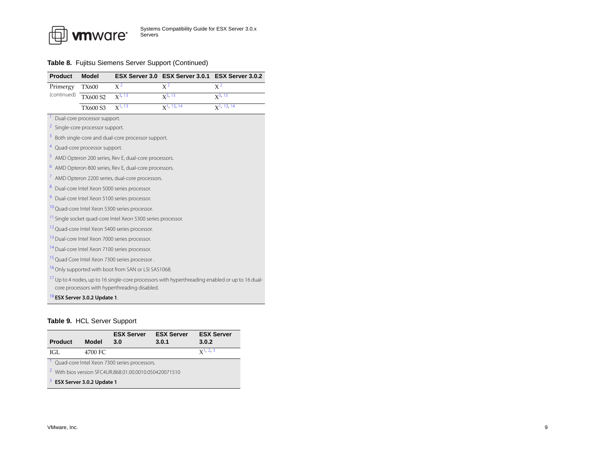

#### **Table 8.** Fujitsu Siemens Server Support (Continued)

<span id="page-8-15"></span><span id="page-8-13"></span><span id="page-8-12"></span><span id="page-8-9"></span><span id="page-8-5"></span><span id="page-8-3"></span><span id="page-8-2"></span><span id="page-8-1"></span>

| <b>Product</b> | <b>Model</b>                                |                                                                         | ESX Server 3.0 ESX Server 3.0.1                                                                            | ESX Server 3.0.2 |
|----------------|---------------------------------------------|-------------------------------------------------------------------------|------------------------------------------------------------------------------------------------------------|------------------|
| Primergy       | <b>TX600</b>                                | $X^2$                                                                   | $X^2$                                                                                                      | $X^2$            |
| (continued)    | <b>TX600 S2</b>                             | $X^{3, 13}$                                                             | $X^3$ , 13                                                                                                 | $X^{3, 13}$      |
|                | <b>TX600 S3</b>                             | $X^{1, 13}$                                                             | $X$ <sup>1</sup> , 13, 14                                                                                  | $X1$ , 13, 14    |
|                | <sup>1</sup> Dual-core processor support.   |                                                                         |                                                                                                            |                  |
|                | <sup>2</sup> Single-core processor support. |                                                                         |                                                                                                            |                  |
|                |                                             | <sup>3</sup> Both single-core and dual-core processor support.          |                                                                                                            |                  |
|                | <sup>4</sup> Quad-core processor support.   |                                                                         |                                                                                                            |                  |
|                |                                             | <sup>5</sup> AMD Opteron 200 series, Rev E, dual-core processors.       |                                                                                                            |                  |
|                |                                             | <sup>6</sup> AMD Opteron 800 series, Rev E, dual-core processors.       |                                                                                                            |                  |
|                |                                             | <sup>7</sup> AMD Opteron 2200 series, dual-core processors.             |                                                                                                            |                  |
| 8              |                                             | Dual-core Intel Xeon 5000 series processor.                             |                                                                                                            |                  |
|                |                                             | <sup>9</sup> Dual-core Intel Xeon 5100 series processor.                |                                                                                                            |                  |
|                |                                             | <sup>10</sup> Quad-core Intel Xeon 5300 series processor.               |                                                                                                            |                  |
|                |                                             | <sup>11</sup> Single socket quad-core Intel Xeon 5300 series processor. |                                                                                                            |                  |
|                |                                             | <sup>12</sup> Quad-core Intel Xeon 5400 series processor.               |                                                                                                            |                  |
|                |                                             | <sup>13</sup> Dual-core Intel Xeon 7000 series processor.               |                                                                                                            |                  |
|                |                                             | <sup>14</sup> Dual-core Intel Xeon 7100 series processor.               |                                                                                                            |                  |
|                |                                             | <sup>15</sup> Quad Core Intel Xeon 7300 series processor.               |                                                                                                            |                  |
|                |                                             | <sup>16</sup> Only supported with boot from SAN or LSI SAS1068.         |                                                                                                            |                  |
|                |                                             | core processors with hyperthreading disabled.                           | <sup>17</sup> Up to 4 nodes, up to 16 single-core processors with hyperthreading enabled or up to 16 dual- |                  |
|                | <sup>18</sup> ESX Server 3.0.2 Update 1.    |                                                                         |                                                                                                            |                  |

#### <span id="page-8-18"></span><span id="page-8-17"></span><span id="page-8-16"></span><span id="page-8-14"></span><span id="page-8-11"></span><span id="page-8-10"></span><span id="page-8-8"></span><span id="page-8-7"></span><span id="page-8-6"></span><span id="page-8-4"></span><span id="page-8-0"></span>**Table 9.** HCL Server Support

<span id="page-8-21"></span><span id="page-8-20"></span><span id="page-8-19"></span>

| <b>Product</b>                                                    | Model   | <b>ESX Server</b><br>3.0 | <b>ESX Server</b><br>3.0.1 | <b>ESX Server</b><br>3.0.2 |  |
|-------------------------------------------------------------------|---------|--------------------------|----------------------------|----------------------------|--|
| IGI.                                                              | 4700 FC |                          |                            | $x^1$ , 2, 3               |  |
| Quad-core Intel Xeon 7300 series processors.                      |         |                          |                            |                            |  |
| <sup>2</sup> With bios version SEC4UR.868.01.00.0010.050420071510 |         |                          |                            |                            |  |
| ESX Server 3.0.2 Update 1                                         |         |                          |                            |                            |  |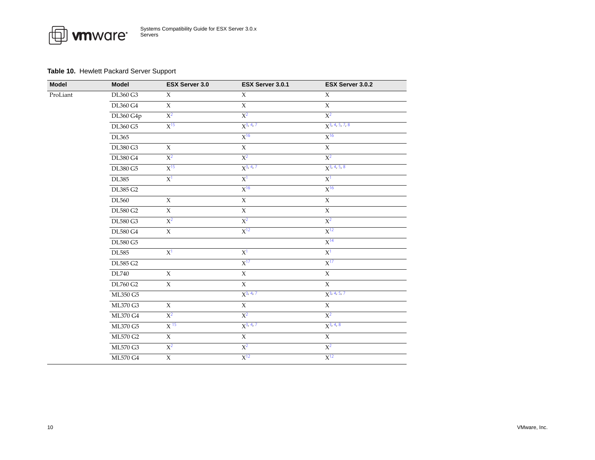#### <span id="page-9-0"></span>**Table 10.** Hewlett Packard Server Support

| Model    | Model           | ESX Server 3.0  | ESX Server 3.0.1  | ESX Server 3.0.2            |
|----------|-----------------|-----------------|-------------------|-----------------------------|
| ProLiant | DL360 G3        | $\chi$          | $\chi$            | $\chi$                      |
|          | DL360 G4        | $\chi$          | $\mathsf X$       | $\overline{X}$              |
|          | DL360 G4p       | $X^2$           | $X^2$             | $X^2$                       |
|          | <b>DL360 G5</b> | $X^{15}$        | $X^{3, 4, 7}$     | $X3$ , 4, 5, 7, 8           |
|          | DL365           |                 | $X^{16}$          | $X^{16}$                    |
|          | DL380 G3        | X               | $\overline{X}$    | $\chi$                      |
|          | <b>DL380 G4</b> | $X^2$           | $X^2$             | $X^2$                       |
|          | DL380 G5        | $X^{15}$        | $X^{3, 4, 7}$     | $X^{3, 4, 5, 8}$            |
|          | <b>DL385</b>    | $X^1$           | $X^1$             | $\overline{X}$ <sup>1</sup> |
|          | DL385 G2        |                 | $X^{16}$          | $X^{16}$                    |
|          | DL560           | $\overline{X}$  | $\overline{X}$    | $\overline{X}$              |
|          | <b>DL580 G2</b> | $\chi$          | $\chi$            | $\chi$                      |
|          | DL580 G3        | $X^2$           | $X^2$             | $X^2$                       |
|          | <b>DL580 G4</b> | $\overline{X}$  | $X^{12}$          | $X^{12}$                    |
|          | <b>DL580 G5</b> |                 |                   | $X^{14}$                    |
|          | <b>DL585</b>    | $X^1$           | $X^1$             | $X^1$                       |
|          | DL585 G2        |                 | $X^{17}$          | $X^{17}$                    |
|          | DL740           | $\chi$          | $\overline{\chi}$ | $\overline{X}$              |
|          | <b>DL760 G2</b> | $\overline{X}$  | $\overline{X}$    | $\overline{X}$              |
|          | ML350 G5        |                 | $X^{3, 4, 7}$     | $X^{3, 4, 5, 7}$            |
|          | ML370 G3        | $\chi$          | $\mathsf X$       | $\chi$                      |
|          | <b>ML370 G4</b> | $X^2$           | $X^2$             | $X^2$                       |
|          | ML370 G5        | X <sup>15</sup> | $X^{3, 4, 7}$     | $X^{3, 4, 8}$               |
|          | ML570 G2        | $\chi$          | $\mathsf X$       | X                           |
|          | <b>ML570 G3</b> | $X^2$           | $X^2$             | $X^2$                       |
|          | <b>ML570 G4</b> | $\overline{X}$  | $X^{12}$          | $X^{12}$                    |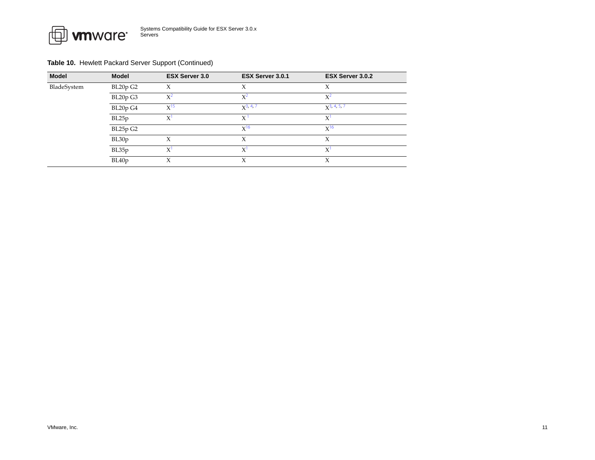

#### **Table 10.** Hewlett Packard Server Support (Continued)

| <b>Model</b> | <b>Model</b> | <b>ESX Server 3.0</b> | ESX Server 3.0.1 | ESX Server 3.0.2 |
|--------------|--------------|-----------------------|------------------|------------------|
| BladeSystem  | BL20p G2     | Х                     | X                | Х                |
|              | BL20p G3     | $X^2$                 | $X^2$            | $X^2$            |
|              | BL20p G4     | X <sup>15</sup>       | $X^{3, 4, 7}$    | $X^3$ , 4, 5, 7  |
|              | BL25p        | $\chi$                | X                | X                |
|              | BL25p G2     |                       | $X^{16}$         | $X^{16}$         |
|              | BL30p        | X                     | Х                | X                |
|              | BL35p        | $X^1$                 | $X^1$            | $X^1$            |
|              | BL40p        | Χ                     | X                | X                |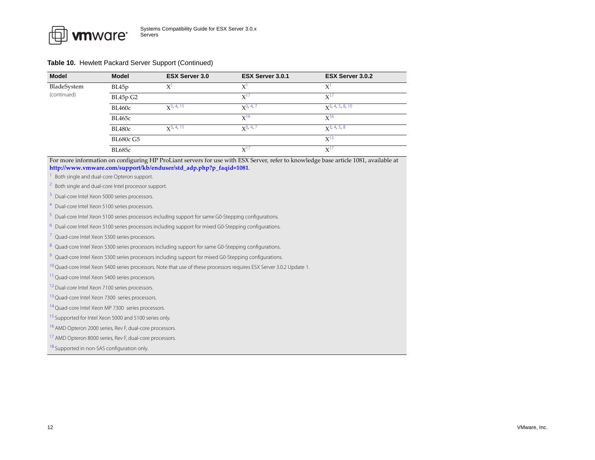#### **Table 10.** Hewlett Packard Server Support (Continued)

| <b>Model</b> | <b>Model</b>  | <b>ESX Server 3.0</b>       | ESX Server 3.0.1 | ESX Server 3.0.2                  |
|--------------|---------------|-----------------------------|------------------|-----------------------------------|
| BladeSystem  | BL45p         | X                           |                  | X'                                |
| (continued)  | BL45p G2      |                             | $X^{17}$         | $X^{1}$                           |
|              | <b>BL460c</b> | $X^3$ , 4, 15               | $X^3$ , 4, 7     | $\chi$ <sup>3</sup> , 4, 5, 8, 10 |
|              | BL465c        |                             | $X^{16}$         | $X^{16}$                          |
|              | <b>BL480c</b> | $\chi$ <sup>3</sup> , 4, 15 | $x^{3, 4, 7}$    | $\chi$ <sup>3</sup> , 4, 5, 8     |
|              | BL680c G5     |                             |                  | $X^{13}$                          |
|              | <b>BL685c</b> |                             | $X^{17}$         | $X^{17}$                          |

For more information on configuring HP ProLiant servers for use with ESX Server, refer to knowledge base article 1081, available at **[http://www.vmware.com/support/kb/enduser/std\\_adp.php?p\\_faqid=1081](http://www.vmware.com/support/kb/enduser/std_adp.php?p_faqid=1081)**.

<span id="page-11-8"></span>Both single and dual-core Opteron support.

<span id="page-11-5"></span>2Both single and dual-core Intel processor support.

<span id="page-11-1"></span>3Dual-core Intel Xeon 5000 series processors.

<span id="page-11-2"></span>4Dual-core Intel Xeon 5100 series processors.

<span id="page-11-6"></span>Dual-core Intel Xeon 5100 series processors including support for same G0-Stepping configurations.

Dual-core Intel Xeon 5100 series processors including support for mixed G0-Stepping configurations.

<span id="page-11-3"></span>7Quad-core Intel Xeon 5300 series processors.

<span id="page-11-7"></span>Quad-core Intel Xeon 5300 series processors including support for same G0-Stepping configurations.

9Quad-core Intel Xeon 5300 series processors including support for mixed G0-Stepping configurations.

<span id="page-11-12"></span> $^{10}$  Quad-core Intel Xeon 5400 series processors. Note that use of these processors requires ESX Server 3.0.2 Update 1.

<sup>11</sup> Quad-core Intel Xeon 5400 series processors.

<span id="page-11-9"></span><sup>12</sup> Dual-core Intel Xeon 7100 series processors.

<span id="page-11-13"></span><sup>13</sup> Quad-core Intel Xeon 7300 series processors.

<span id="page-11-10"></span><sup>14</sup> Quad-core Intel Xeon MP 7300 series processors.

<span id="page-11-0"></span><sup>15</sup> Supported for Intel Xeon 5000 and 5100 series only.

<span id="page-11-4"></span><sup>16</sup> AMD Opteron 2000 series, Rev F, dual-core processors.

<span id="page-11-11"></span><sup>17</sup> AMD Opteron 8000 series, Rev F, dual-core processors.

<sup>18</sup> Supported in non-SAS configuration only.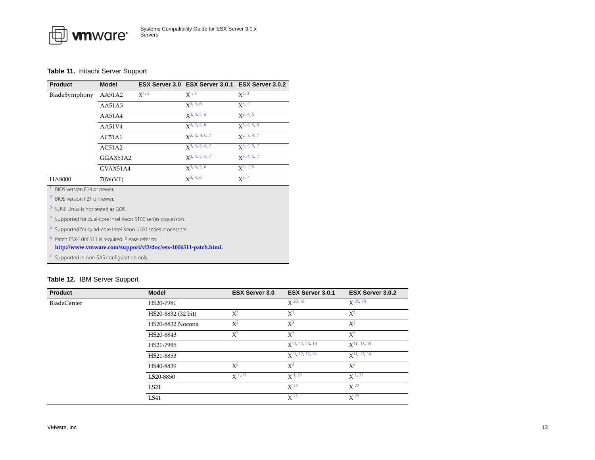#### <span id="page-12-0"></span>**Table 11.** Hitachi Server Support

画

| <b>Product</b>        | <b>Model</b>               |            | ESX Server 3.0 ESX Server 3.0.1 ESX Server 3.0.2 |                  |  |  |
|-----------------------|----------------------------|------------|--------------------------------------------------|------------------|--|--|
| BladeSymphony         | AA51A2                     | $X^{1, 3}$ | $X^{1, 3}$                                       | $X^{1, 3}$       |  |  |
|                       | AA51A3                     |            | $x^{3, 4, 6}$                                    | $X^3$ , 4        |  |  |
|                       | AA51A4                     |            | $x^{3, 4, 5, 6}$                                 | $x^3$ , 4, 5     |  |  |
|                       | AA51V4                     |            | $x^{3, 4, 5, 6}$                                 | $x^3$ , 4, 5, 6  |  |  |
|                       | AC51A1                     |            | $X^2$ , 3, 4, 6, 7                               | $x^2$ , 3, 4, 7  |  |  |
|                       | AC51A2                     |            | $\chi$ <sup>3</sup> , 4, 5, 6, 7                 | $X^{3, 4, 5, 7}$ |  |  |
|                       | GGAX51A2                   |            | $\chi$ 3, 4, 5, 6, 7                             | $x^{3, 4, 5, 7}$ |  |  |
|                       | GVAX51A4                   |            | $x^3$ , 4, 5, 6                                  | $x^3, 4, 5$      |  |  |
| HA8000                | 70W(VF)                    |            | $X^3$ , 4, 6                                     | $x^{3, 4}$       |  |  |
|                       | BIOS version F14 or newer. |            |                                                  |                  |  |  |
| $2.000 \, \mathrm{m}$ |                            |            |                                                  |                  |  |  |

<span id="page-12-7"></span><span id="page-12-2"></span>BIOS version F21 or newer.

<span id="page-12-8"></span>7

<span id="page-12-3"></span>3<sup>3</sup> SUSE Linux is not tested as GOS.

<span id="page-12-4"></span>4Supported for dual-core Intel Xeon 5100 series processors.

<span id="page-12-6"></span>Supported for quad-core Intel Xeon 5300 series processors.

<span id="page-12-5"></span>6Patch ESX-1006511 is required. Please refer to:

**[http://www.vmware.com/support/vi3/doc/esx](http://www.vmware.com/support/vi3/doc/esx-1006511-patch.html)‐1006511‐patch.html.**

Supported in non-SAS configuration only.

#### <span id="page-12-1"></span>**Table 12.** IBM Server Support

| <b>Product</b>     | <b>Model</b>       | <b>ESX Server 3.0</b> | ESX Server 3.0.1                  | ESX Server 3.0.2           |
|--------------------|--------------------|-----------------------|-----------------------------------|----------------------------|
| <b>BladeCenter</b> | HS20-7981          |                       | $X$ 20, 18                        | $X^{20, 18}$               |
|                    | HS20-8832 (32 bit) | $X^3$                 | $X^3$                             | $X^3$                      |
|                    | HS20-8832 Nocona   | $X^3$                 | $X^3$                             | $X^3$                      |
|                    | HS20-8843          | $X^3$                 | $X^3$                             | $X^3$                      |
|                    | HS21-7995          |                       | $x$ <sup>11, 12, 13, 14</sup>     | $x$ <sup>11</sup> , 13, 14 |
|                    | HS21-8853          |                       | $\chi$ <sup>11</sup> , 12, 13, 14 | $X$ <sup>11, 13, 14</sup>  |
|                    | HS40-8839          | $X^3$                 | $X^3$                             | $X^3$                      |
|                    | LS20-8850          | $X^{1, 21}$           | $X^{1, 21}$                       | $X^{1,21}$                 |
|                    | LS21               |                       | $X^{22}$                          | $X^{22}$                   |
|                    | LS41               |                       | $X^{23}$                          | $X^{23}$                   |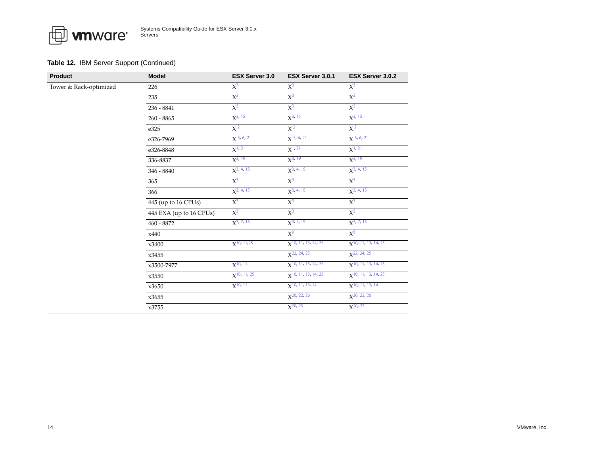*I* mware

| <b>Product</b>         | <b>Model</b>            | <b>ESX Server 3.0</b> | ESX Server 3.0.1                  | ESX Server 3.0.2                  |
|------------------------|-------------------------|-----------------------|-----------------------------------|-----------------------------------|
| Tower & Rack-optimized | 226                     | $X^3$                 | $X^3$                             | $X^3$                             |
|                        | 235                     | $X^3$                 | $X^3$                             | $X^3$                             |
|                        | 236 - 8841              | $X^3$                 | $X^3$                             | $\overline{\chi^3}$               |
|                        | $260 - 8865$            | $X^{3, 15}$           | $X^{3, 15}$                       | $X^{3, 15}$                       |
|                        | e325                    | $X^2$                 | $X^2$                             | $X^2$                             |
|                        | e326-7969               | $X$ 5, 6, 21          | $X$ 5, 6, 21                      | $X$ 5, 6, 21                      |
|                        | e326-8848               | $X^{1, 21}$           | $X^{1, 21}$                       | $X^{1, 21}$                       |
|                        | 336-8837                | $X^{3, 19}$           | $X^{3, 19}$                       | $X^{3, 19}$                       |
|                        | $346 - 8840$            | $X^{3, 4, 15}$        | $X^{3, 4, 15}$                    | $X^{3, 4, 15}$                    |
|                        | 365                     | $\overline{\chi^3}$   | $\overline{\chi^3}$               | $X^3$                             |
|                        | 366                     | $X^{3, 4, 15}$        | $X^{3, 4, 15}$                    | $X^{3, 4, 15}$                    |
|                        | 445 (up to 16 CPUs)     | $X^3$                 | $X^3$                             | $X^3$                             |
|                        | 445 EXA (up to 16 CPUs) | $\overline{\chi^3}$   | $X^3$                             | $X^3$                             |
|                        | $460 - 8872$            | $X^{3, 7, 15}$        | $X^{3, 7, 15}$                    | $X^{3, 7, 15}$                    |
|                        | x440                    |                       | $X^9$                             | $X^9$                             |
|                        | x3400                   | $X^{10, 11, 25}$      | $X$ <sup>10, 11, 13, 14, 25</sup> | $X$ <sup>10, 11, 13, 14, 25</sup> |
|                        | x3455                   |                       | $X^{22, 24, 25}$                  | $X^{22, 24, 25}$                  |
|                        | x3500-7977              | $X^{10, 11}$          | $X$ <sup>10, 11, 13, 14, 25</sup> | $X$ <sup>10, 11, 13, 14, 25</sup> |
|                        | x3550                   | $X^{10, 11, 25}$      | $X$ <sup>10, 11, 13, 14, 25</sup> | $X$ <sup>10, 11, 13, 14, 25</sup> |
|                        | x3650                   | $X^{10, 11}$          | $X$ <sup>10, 11, 13, 14</sup>     | $X$ <sup>10, 11, 13, 14</sup>     |
|                        | x3655                   |                       | $X^{20, 22, 26}$                  | $X^{20, 22, 26}$                  |
|                        | x3755                   |                       | $X^{20, 23}$                      | $X^{20, 23}$                      |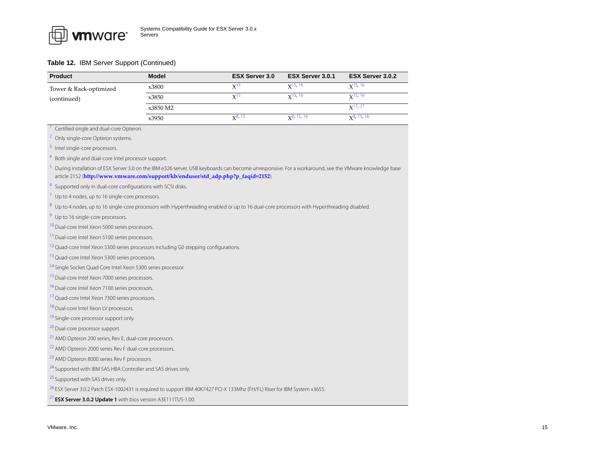<span id="page-14-26"></span><span id="page-14-25"></span><span id="page-14-24"></span><span id="page-14-23"></span><span id="page-14-22"></span><span id="page-14-21"></span><span id="page-14-20"></span><span id="page-14-19"></span><span id="page-14-18"></span><span id="page-14-17"></span><span id="page-14-16"></span><span id="page-14-15"></span><span id="page-14-14"></span><span id="page-14-13"></span><span id="page-14-12"></span><span id="page-14-11"></span><span id="page-14-10"></span><span id="page-14-9"></span><span id="page-14-8"></span><span id="page-14-7"></span><span id="page-14-6"></span><span id="page-14-5"></span><span id="page-14-4"></span><span id="page-14-3"></span><span id="page-14-2"></span><span id="page-14-1"></span><span id="page-14-0"></span>

| <b>Product</b>                                                                                                                                         | <b>Model</b> | ESX Server 3.0 | ESX Server 3.0.1 | ESX Server 3.0.2 |
|--------------------------------------------------------------------------------------------------------------------------------------------------------|--------------|----------------|------------------|------------------|
| Tower & Rack-optimized                                                                                                                                 | x3800        | $X^{15}$       | $X^{15, 16}$     | $X^{15, 16}$     |
| (continued)                                                                                                                                            | x3850        | $X^{15}$       | $X^{15, 16}$     | $X^{15, 16}$     |
|                                                                                                                                                        | x3850 M2     |                |                  | $X^{17, 27}$     |
|                                                                                                                                                        | x3950        | $X^{8, 15}$    | $X^{8, 15, 16}$  | $X^{8, 15, 16}$  |
| Certified single and dual-core Opteron.                                                                                                                |              |                |                  |                  |
| <sup>2</sup> Only single-core Opteron systems.                                                                                                         |              |                |                  |                  |
| <sup>3</sup> Intel single-core processors.                                                                                                             |              |                |                  |                  |
| <sup>4</sup> Both single and dual-core Intel processor support.                                                                                        |              |                |                  |                  |
| 5 During installation of ESX Server 3.0 on the IBM e326 server, USB keyboards can become unresponsive. For a workaround, see the VMware knowledge base |              |                |                  |                  |
| article 2152 (http://www.vmware.com/support/kb/enduser/std_adp.php?p_faqid=2152).                                                                      |              |                |                  |                  |
| <sup>6</sup> Supported only in dual-core configurations with SCSI disks.                                                                               |              |                |                  |                  |
| $\frac{7}{7}$ Up to 4 nodes, up to 16 single-core processors.                                                                                          |              |                |                  |                  |
| <sup>8</sup> Up to 4 nodes, up to 16 single-core processors with Hyperthreading enabled or up to 16 dual-core processors with Hyperthreading disabled. |              |                |                  |                  |
| <sup>9</sup> Up to 16 single-core processors.                                                                                                          |              |                |                  |                  |
| <sup>10</sup> Dual-core Intel Xeon 5000 series processors.                                                                                             |              |                |                  |                  |
| <sup>11</sup> Dual-core Intel Xeon 5100 series processors.                                                                                             |              |                |                  |                  |
| <sup>12</sup> Quad-core Intel Xeon 5300 series processors including G0 stepping configurations.                                                        |              |                |                  |                  |
| <sup>13</sup> Quad-core Intel Xeon 5300 series processors.                                                                                             |              |                |                  |                  |
| <sup>14</sup> Single Socket Quad Core Intel Xeon 5300 series processor.                                                                                |              |                |                  |                  |
| <sup>15</sup> Dual-core Intel Xeon 7000 series processors.                                                                                             |              |                |                  |                  |
| <sup>16</sup> Dual-core Intel Xeon 7100 series processors.                                                                                             |              |                |                  |                  |
| <sup>17</sup> Quad-core Intel Xeon 7300 series processors.                                                                                             |              |                |                  |                  |
| <sup>18</sup> Dual-core Intel Xeon LV processors.                                                                                                      |              |                |                  |                  |
| <sup>19</sup> Single-core processor support only.                                                                                                      |              |                |                  |                  |
| <sup>20</sup> Dual-core processor support.                                                                                                             |              |                |                  |                  |
| <sup>21</sup> AMD Opteron 200 series, Rev E, dual-core processors.                                                                                     |              |                |                  |                  |
| <sup>22</sup> AMD Opteron 2000 series Rev F dual-core processors.                                                                                      |              |                |                  |                  |
| <sup>23</sup> AMD Opteron 8000 series Rev F processors.                                                                                                |              |                |                  |                  |
| <sup>24</sup> Supported with IBM SAS HBA Controller and SAS drives only.                                                                               |              |                |                  |                  |
| <sup>25</sup> Supported with SAS drives only.                                                                                                          |              |                |                  |                  |
| <sup>26</sup> ESX Server 3.0.2 Patch ESX-1002431 is required to support IBM 40K7427 PCI-X 133Mhz (FH/FL) Riser for IBM System x3655.                   |              |                |                  |                  |
| <sup>27</sup> ESX Server 3.0.2 Update 1 with bios version A3E111TUS-1.00.                                                                              |              |                |                  |                  |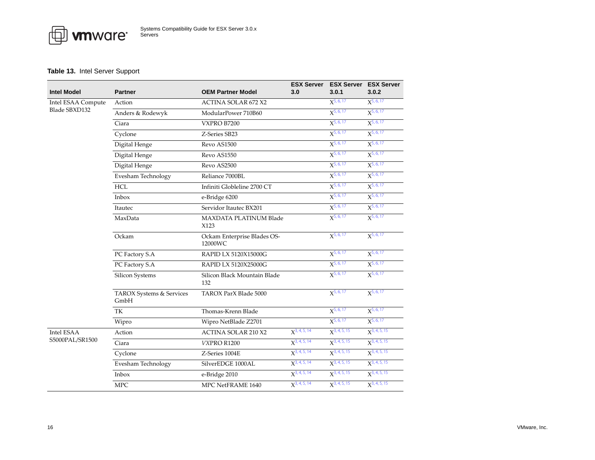

#### <span id="page-15-0"></span>**Table 13.** Intel Server Support

| <b>Intel Model</b> | <b>Partner</b>                   | <b>OEM Partner Model</b>               | 3.0               | <b>ESX Server ESX Server ESX Server</b><br>3.0.1 | 3.0.2                          |
|--------------------|----------------------------------|----------------------------------------|-------------------|--------------------------------------------------|--------------------------------|
| Intel ESAA Compute | Action                           | <b>ACTINA SOLAR 672 X2</b>             |                   | $X^{5,6,17}$                                     | $X^{5,6,17}$                   |
| Blade SBXD132      | Anders & Rodewyk                 | ModularPower 710B60                    |                   | $X^{5,6,17}$                                     | $X^{5,6,17}$                   |
|                    | Ciara                            | VXPRO B7200                            |                   | $X^{5,6,17}$                                     | $X^{5,6,17}$                   |
|                    | Cyclone                          | Z-Series SB23                          |                   | $X^{5,6,17}$                                     | $X^{5,6,17}$                   |
|                    | Digital Henge                    | Revo AS1500                            |                   | $X^{5,6,17}$                                     | $X^{5,6,17}$                   |
|                    | Digital Henge                    | Revo AS1550                            |                   | $X^{5,6,17}$                                     | $X^{5,6,17}$                   |
|                    | Digital Henge                    | Revo AS2500                            |                   | $X^{5,6,17}$                                     | $X^{5,6,17}$                   |
|                    | Evesham Technology               | Reliance 7000BL                        |                   | $X^{5,6,17}$                                     | $X^{5,6,17}$                   |
|                    | <b>HCL</b>                       | Infiniti Globleline 2700 CT            |                   | $X^{5,6,17}$                                     | $X^{5,6,17}$                   |
|                    | Inbox                            | e-Bridge 6200                          |                   | $X^{5,6,17}$                                     | $X^{5,6,17}$                   |
|                    | Itautec                          | Servidor Itautec BX201                 |                   | $X^{5,6,17}$                                     | $X^{5,6,17}$                   |
|                    | MaxData                          | <b>MAXDATA PLATINUM Blade</b><br>X123  |                   | $X^{5,6,17}$                                     | $X^{5,6,17}$                   |
|                    | Ockam                            | Ockam Enterprise Blades OS-<br>12000WC |                   | $X^{5,6,17}$                                     | $X^{5,6,17}$                   |
|                    | PC Factory S.A                   | RAPID LX 5120X15000G                   |                   | $X^{5,6,17}$                                     | $X^{5,6,17}$                   |
|                    | PC Factory S.A                   | RAPID LX 5120X25000G                   |                   | $X^{5,6,17}$                                     | $X^{5,6,17}$                   |
|                    | Silicon Systems                  | Silicon Black Mountain Blade<br>132    |                   | $X^{5,6,17}$                                     | $X^{5,6,17}$                   |
|                    | TAROX Systems & Services<br>GmbH | TAROX ParX Blade 5000                  |                   | $X^{5,6,17}$                                     | $X^{5,6,17}$                   |
|                    | TK                               | Thomas-Krenn Blade                     |                   | $X^{5,6,17}$                                     | $X^{5,6,17}$                   |
|                    | Wipro                            | Wipro NetBlade Z2701                   |                   | $X^{5,6,17}$                                     | $X^{5,6,17}$                   |
| Intel ESAA         | Action                           | <b>ACTINA SOLAR 210 X2</b>             | $X^{3, 4, 5, 14}$ | $X^{3, 4, 5, 15}$                                | $X^{3,4,5,15}$                 |
| S5000PAL/SR1500    | Ciara                            | VXPRO R1200                            | $X^{3,4,5,14}$    | $X^{3, 4, 5, 15}$                                | $X^{3, 4, 5, 15}$              |
|                    | Cyclone                          | Z-Series 1004E                         | $X^{3, 4, 5, 14}$ | $X^{3, 4, 5, 15}$                                | $X^{3, 4, 5, 15}$              |
|                    | Evesham Technology               | SilverEDGE 1000AL                      | $X^{3,4,5,14}$    | $X^{3, 4, 5, 15}$                                | $X^{3,4,5,15}$                 |
|                    | Inbox                            | e-Bridge 2010                          | $X^{3, 4, 5, 14}$ | $X^{3, 4, 5, 15}$                                | $X^{3, 4, 5, 15}$              |
|                    | <b>MPC</b>                       | MPC NetFRAME 1640                      | $X^{3,4,5,14}$    | $\chi$ <sup>3</sup> , 4, 5, 15                   | $\chi$ <sup>3</sup> , 4, 5, 15 |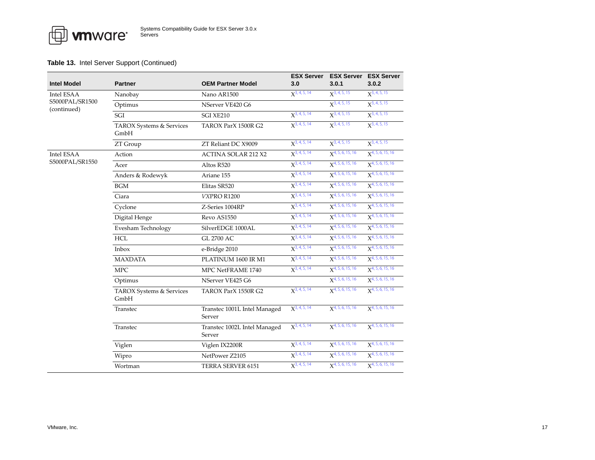|                                |                                  |                                        | <b>ESX Server</b>        | <b>ESX Server</b>              | <b>ESX Server</b>            |
|--------------------------------|----------------------------------|----------------------------------------|--------------------------|--------------------------------|------------------------------|
| <b>Intel Model</b>             | <b>Partner</b>                   | <b>OEM Partner Model</b>               | 3.0                      | 3.0.1                          | 3.0.2                        |
| <b>Intel ESAA</b>              | Nanobay                          | Nano AR1500                            | $X^{3, 4, 5, 14}$        | $X^{3, 4, 5, 15}$              | $X^{3, 4, 5, 15}$            |
| S5000PAL/SR1500<br>(continued) | Optimus                          | NServer VE420 G6                       |                          | $X^{3,4,5,15}$                 | $X^3$ , 4, 5, 15             |
|                                | SGI                              | SGI XE210                              | $X^{3,4,5,14}$           | $X^{3, 4, 5, 15}$              | $X^{3, 4, 5, 15}$            |
|                                | TAROX Systems & Services<br>GmbH | TAROX ParX 1500R G2                    | $X^{3, 4, 5, 14}$        | $X^{3, 4, 5, 15}$              | $X^{3, 4, 5, 15}$            |
|                                | ZT Group                         | ZT Reliant DC X9009                    | $X^{3,4,5,14}$           | $X^{3, 4, 5, 15}$              | $X^{3, 4, 5, 15}$            |
| <b>Intel ESAA</b>              | Action                           | <b>ACTINA SOLAR 212 X2</b>             | $X^{3, 4, 5, 14}$        | $X^{4, 5, 6, 15, 16}$          | $X^{4, 5, 6, 15, 16}$        |
| S5000PAL/SR1550                | Acer                             | Altos R520                             | $X^{3,4,5,14}$           | $X^{4, 5, 6, 15, 16}$          | $X^{4, 5, 6, 15, 16}$        |
|                                | Anders & Rodewyk                 | Ariane 155                             | $X^{3, 4, 5, 14}$        | $X^{4, 5, 6, 15, 16}$          | $X^{4, 5, 6, 15, 16}$        |
|                                | <b>BGM</b>                       | Elitas SR520                           | $X^{3, 4, 5, 14}$        | $X^{4, 5, 6, 15, 16}$          | $X^{4, 5, 6, 15, 16}$        |
|                                | Ciara                            | VXPRO R1200                            | $X^{3,4,5,14}$           | $X^{4, 5, 6, 15, 16}$          | $X^{4, 5, 6, 15, 16}$        |
|                                | Cyclone                          | Z-Series 1004RP                        | $X^{3, 4, 5, 14}$        | $X^{4, 5, 6, 15, 16}$          | $X^{4, 5, 6, 15, 16}$        |
|                                | Digital Henge                    | Revo AS1550                            | X <sup>3, 4, 5, 14</sup> | $X^{4, 5, 6, 15, 16}$          | $X^{4, 5, 6, 15, 16}$        |
|                                | Evesham Technology               | SilverEDGE 1000AL                      | $X^{3,4,5,14}$           | $X^{4, 5, 6, 15, 16}$          | $X^{4, 5, 6, 15, 16}$        |
|                                | <b>HCL</b>                       | <b>GL 2700 AC</b>                      | $X^{3,4,5,14}$           | X <sup>4, 5, 6, 15, 16</sup>   | $X^{4, 5, 6, 15, 16}$        |
|                                | Inbox                            | e-Bridge 2010                          | $X^{3, 4, 5, 14}$        | $X^{4, 5, 6, 15, 16}$          | $X^{4, 5, 6, 15, 16}$        |
|                                | <b>MAXDATA</b>                   | PLATINUM 1600 IR M1                    | $X^{3, 4, 5, 14}$        | $\mathbf{X}^{4, 5, 6, 15, 16}$ | $X^{4, 5, 6, 15, 16}$        |
|                                | <b>MPC</b>                       | MPC NetFRAME 1740                      | $X^{3, 4, 5, 14}$        | $X^{4, 5, 6, 15, 16}$          | $X^{4, 5, 6, 15, 16}$        |
|                                | Optimus                          | NServer VE425 G6                       |                          | $X^{4, 5, 6, 15, 16}$          | $X^{4, 5, 6, 15, 16}$        |
|                                | TAROX Systems & Services<br>GmbH | TAROX ParX 1550R G2                    | $X^{3,4,5,14}$           | $\mathbf{X}^{4, 5, 6, 15, 16}$ | $X^{4, 5, 6, 15, 16}$        |
|                                | Transtec                         | Transtec 1001L Intel Managed<br>Server | $X^{3, 4, 5, 14}$        | $\mathbf{X}^{4, 5, 6, 15, 16}$ | X <sup>4, 5, 6, 15, 16</sup> |
|                                | Transtec                         | Transtec 1002L Intel Managed<br>Server | $X^{3, 4, 5, 14}$        | $X^{4, 5, 6, 15, 16}$          | $X^{4, 5, 6, 15, 16}$        |
|                                | Viglen                           | Viglen IX2200R                         | $X^{3, 4, 5, 14}$        | $X^{4, 5, 6, 15, 16}$          | $X^{4, 5, 6, 15, 16}$        |
|                                | Wipro                            | NetPower Z2105                         | $X^{3,4,5,14}$           | X <sup>4, 5, 6, 15, 16</sup>   | $X^{4, 5, 6, 15, 16}$        |
|                                | Wortman                          | TERRA SERVER 6151                      | $X^{3, 4, 5, 14}$        | $X^{4, 5, 6, 15, 16}$          | $X^{4, 5, 6, 15, 16}$        |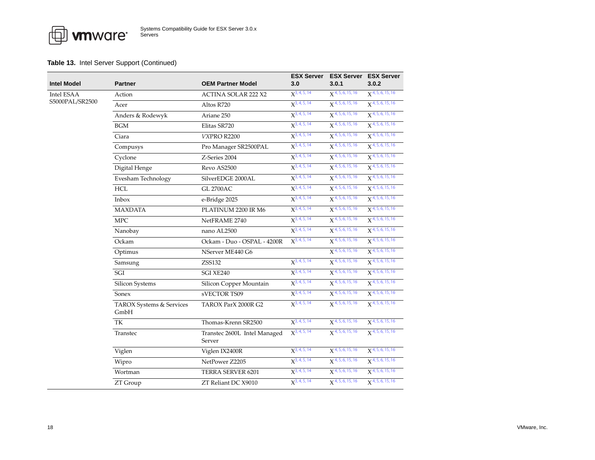| Intel Model     | <b>Partner</b>                   | <b>OEM Partner Model</b>               | <b>ESX Server</b><br>3.0       | 3.0.1                          | <b>ESX Server ESX Server</b><br>3.0.2 |
|-----------------|----------------------------------|----------------------------------------|--------------------------------|--------------------------------|---------------------------------------|
| Intel ESAA      | Action                           | <b>ACTINA SOLAR 222 X2</b>             | $X^{3,4,5,14}$                 | $X$ <sup>4, 5, 6, 15, 16</sup> | $X$ <sup>4, 5, 6, 15, 16</sup>        |
| S5000PAL/SR2500 | Acer                             | Altos R720                             | $X^{3, 4, 5, 14}$              | $\chi$ 4, 5, 6, 15, 16         | $X^{4, 5, 6, 15, 16}$                 |
|                 | Anders & Rodewyk                 | Ariane 250                             | $X^{3,4,5,14}$                 | $\chi$ 4, 5, 6, 15, 16         | $\chi$ 4, 5, 6, 15, 16                |
|                 | $\rm BGM$                        | Elitas SR720                           | $X^{3, 4, 5, 14}$              | $\chi$ 4, 5, 6, 15, 16         | $X^{4, 5, 6, 15, 16}$                 |
|                 | Ciara                            | VXPRO R2200                            | $X^{3,4,5,14}$                 | $X^{4, 5, 6, 15, 16}$          | $X^{4, 5, 6, 15, 16}$                 |
|                 | Compusys                         | Pro Manager SR2500PAL                  | $X^{3, 4, 5, 14}$              | $X^{4, 5, 6, 15, 16}$          | $X$ <sup>4, 5, 6, 15, 16</sup>        |
|                 | Cyclone                          | Z-Series 2004                          | $X^{3,4,5,14}$                 | $\chi$ 4, 5, 6, 15, 16         | $\chi$ 4, 5, 6, 15, 16                |
|                 | Digital Henge                    | Revo AS2500                            | $X^{3, 4, 5, 14}$              | $X^{4, 5, 6, 15, 16}$          | $X^{4, 5, 6, 15, 16}$                 |
|                 | Evesham Technology               | SilverEDGE 2000AL                      | $X^{3, 4, 5, 14}$              | $X^{4, 5, 6, 15, 16}$          | $X^{4, 5, 6, 15, 16}$                 |
|                 | <b>HCL</b>                       | <b>GL 2700AC</b>                       | $X^{3, 4, 5, 14}$              | $\chi$ 4, 5, 6, 15, 16         | $\chi$ 4, 5, 6, 15, 16                |
|                 | Inbox                            | e-Bridge 2025                          | $X^{3, 4, 5, 14}$              | $\chi$ 4, 5, 6, 15, 16         | $X$ <sup>4, 5, 6, 15, 16</sup>        |
|                 | <b>MAXDATA</b>                   | PLATINUM 2200 IR M6                    | $X^{3, 4, 5, 14}$              | $X^{4, 5, 6, 15, 16}$          | $X$ <sup>4, 5, 6, 15, 16</sup>        |
|                 | <b>MPC</b>                       | NetFRAME 2740                          | $X^{3,4,5,14}$                 | $X^{4, 5, 6, 15, 16}$          | $X$ <sup>4, 5, 6, 15, 16</sup>        |
|                 | Nanobay                          | nano AL2500                            | $X^{3, 4, 5, 14}$              | $\chi$ 4, 5, 6, 15, 16         | $\chi$ 4, 5, 6, 15, 16                |
|                 | Ockam                            | Ockam - Duo - OSPAL - 4200R            | $X^{3,4,5,14}$                 | $X^{4, 5, 6, 15, 16}$          | $X$ <sup>4, 5, 6, 15, 16</sup>        |
|                 | Optimus                          | NServer ME440 G6                       |                                | $X$ <sup>4, 5, 6, 15, 16</sup> | $\chi$ 4, 5, 6, 15, 16                |
|                 | Samsung                          | <b>ZSS132</b>                          | $X^{3,4,5,14}$                 | $X^{4, 5, 6, 15, 16}$          | $X$ <sup>4, 5, 6, 15, 16</sup>        |
|                 | SGI                              | SGI XE240                              | $X^{3, 4, 5, 14}$              | $X^{4, 5, 6, 15, 16}$          | $X^{4, 5, 6, 15, 16}$                 |
|                 | Silicon Systems                  | Silicon Copper Mountain                | $X^{3,4,5,14}$                 | $X^{4, 5, 6, 15, 16}$          | $\chi$ 4, 5, 6, 15, 16                |
|                 | Sonex                            | sVECTOR TS09                           | $X^{3,4,5,14}$                 | $X^{4, 5, 6, 15, 16}$          | $X^{4, 5, 6, 15, 16}$                 |
|                 | TAROX Systems & Services<br>GmbH | TAROX ParX 2000R G2                    | $\chi$ <sup>3</sup> , 4, 5, 14 | $\mathbf{x}$ 4, 5, 6, 15, 16   | $\chi$ 4, 5, 6, 15, 16                |
|                 | TK                               | Thomas-Krenn SR2500                    | $X^{3,4,5,14}$                 | $X^{4, 5, 6, 15, 16}$          | $X^{4, 5, 6, 15, 16}$                 |
|                 | Transtec                         | Transtec 2600L Intel Managed<br>Server | $X^{3, 4, 5, 14}$              | $\mathbf{X}$ 4, 5, 6, 15, 16   | $X$ <sup>4, 5, 6, 15, 16</sup>        |
|                 | Viglen                           | Viglen IX2400R                         | $X^{3,4,5,14}$                 | $X^{4, 5, 6, 15, 16}$          | $\chi$ 4, 5, 6, 15, 16                |
|                 | Wipro                            | NetPower Z2205                         | $X^{3,4,5,14}$                 | $\chi$ 4, 5, 6, 15, 16         | $\chi$ 4, 5, 6, 15, 16                |
|                 | Wortman                          | TERRA SERVER 6201                      | $X^{3,4,5,14}$                 | $X^{4, 5, 6, 15, 16}$          | $\chi$ 4, 5, 6, 15, 16                |
|                 | ZT Group                         | ZT Reliant DC X9010                    | $\chi$ <sup>3</sup> , 4, 5, 14 | $X^{4, 5, 6, 15, 16}$          | $X^{4, 5, 6, 15, 16}$                 |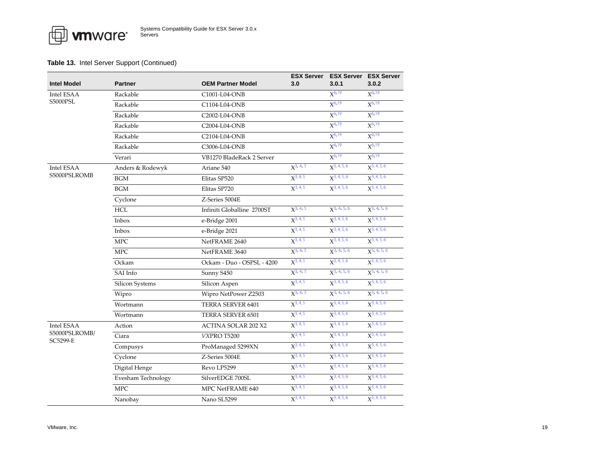|                               |                    |                            | <b>ESX Server</b> |                  | <b>ESX Server ESX Server</b> |
|-------------------------------|--------------------|----------------------------|-------------------|------------------|------------------------------|
| <b>Intel Model</b>            | <b>Partner</b>     | <b>OEM Partner Model</b>   | 3.0               | 3.0.1            | 3.0.2                        |
| Intel ESAA<br><b>S5000PSL</b> | Rackable           | C1001-L04-ONB              |                   | $X^{6,19}$       | $X^{6,19}$                   |
|                               | Rackable           | C1104-L04-ONB              |                   | $X^{6,19}$       | $X^{6,19}$                   |
|                               | Rackable           | C2002-L04-ONB              |                   | $X^{6,19}$       | $X^{6,19}$                   |
|                               | Rackable           | C2004-L04-ONB              |                   | $X^{6,19}$       | $X^{6,19}$                   |
|                               | Rackable           | C2104-L04-ONB              |                   | $X^{6,19}$       | $X^{6,19}$                   |
|                               | Rackable           | C3006-L04-ONB              |                   | $X^{6,19}$       | $X^{6,19}$                   |
|                               | Verari             | VB1270 BladeRack 2 Server  |                   | $X^{6,19}$       | $X^{6,19}$                   |
| Intel ESAA                    | Anders & Rodewyk   | Ariane 540                 | $X^{3, 4, 5}$     | $X^{3,4,5,6}$    | $X^{3,4,5,6}$                |
| S5000PSLROMB                  | <b>BGM</b>         | Elitas SP520               | $X^{3,4,5}$       | $X^{3,4,5,6}$    | $X^{3, 4, 5, 6}$             |
|                               | $\rm BGM$          | Elitas SP720               | $X^{3, 4, 5}$     | $X^{3,4,5,6}$    | $X^{3,4,5,6}$                |
|                               | Cyclone            | Z-Series 5004E             |                   |                  |                              |
|                               | <b>HCL</b>         | Infiniti Globalline 2700ST | $X^{3, 4, 5}$     | $X^{3, 4, 5, 6}$ | $X^{3, 4, 5, 6}$             |
|                               | Inbox              | e-Bridge 2001              | $X^{3, 4, 5}$     | $X^{3,4,5,6}$    | $X^{3,4,5,6}$                |
|                               | Inbox              | e-Bridge 2021              | $X^{3,4,5}$       | $X^{3,4,5,6}$    | $X^{3,4,5,6}$                |
|                               | <b>MPC</b>         | NetFRAME 2640              | $X^{3,4,5}$       | $X^{3,4,5,6}$    | $X^{3, 4, 5, 6}$             |
|                               | <b>MPC</b>         | NetFRAME 3640              | $X^{3, 4, 5}$     | $X^{3, 4, 5, 6}$ | $X^{3, 4, 5, 6}$             |
|                               | Ockam              | Ockam - Duo - OSPSL - 4200 | $X^{3, 4, 5}$     | $X^{3,4,5,6}$    | $X^{3, 4, 5, 6}$             |
|                               | SAI Info           | Sunny S450                 | $X^{3, 4, 5}$     | $X^{3, 4, 5, 6}$ | $X^{3,4,5,6}$                |
|                               | Silicon Systems    | Silicon Aspen              | $X^{3,4,5}$       | $X^{3,4,5,6}$    | $X^{3,4,5,6}$                |
|                               | Wipro              | Wipro NetPower Z2503       | $X^{3, 4, 5}$     | $X^3$ , 4, 5, 6  | $X^{3, 4, 5, 6}$             |
|                               | Wortmann           | TERRA SERVER 6401          | $X^{3,4,5}$       | $X^{3,4,5,6}$    | $X^{3,4,5,6}$                |
|                               | Wortmann           | TERRA SERVER 6501          | $X^{3,4,5}$       | $X^{3,4,5,6}$    | $X^{3,4,5,6}$                |
| Intel ESAA                    | Action             | <b>ACTINA SOLAR 202 X2</b> | $X^{3,4,5}$       | $X^{3,4,5,6}$    | $X^{3, 4, 5, 6}$             |
| S5000PSLROMB/<br>SC5299-E     | Ciara              | VXPRO T5200                | $X^{3,4,5}$       | $X^{3,4,5,6}$    | $X^{3, 4, 5, 6}$             |
|                               | Compusys           | ProManaged 5299XN          | $X^{3,4,5}$       | $X^{3,4,5,6}$    | $X^{3,4,5,6}$                |
|                               | Cyclone            | Z-Series 5004E             | $X^{3,4,5}$       | $X^{3,4,5,6}$    | $X^{3,4,5,6}$                |
|                               | Digital Henge      | Revo LP5299                | $X^{3,4,5}$       | $X^{3,4,5,6}$    | $X^{3,4,5,6}$                |
|                               | Evesham Technology | SilverEDGE 700SL           | $X^{3,4,5}$       | $X^{3,4,5,6}$    | $X^{3,4,5,6}$                |
|                               | <b>MPC</b>         | MPC NetFRAME 640           | $X^{3, 4, 5}$     | $X^{3, 4, 5, 6}$ | $X^{3, 4, 5, 6}$             |
|                               | Nanobay            | Nano SL5299                | $X^{3,4,5}$       | $X^{3,4,5,6}$    | $X^{3,4,5,6}$                |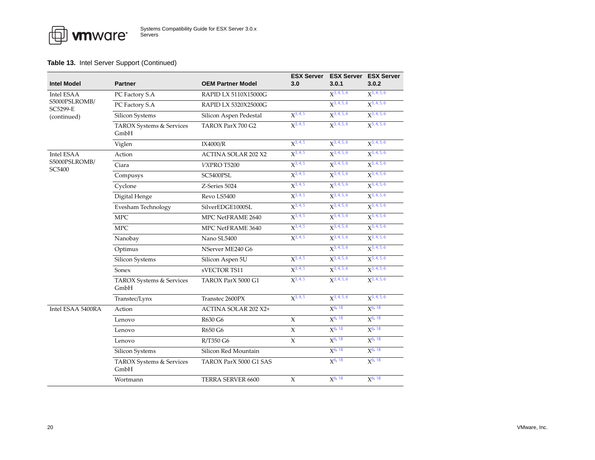**FO** whware

| <b>Intel Model</b>      | <b>Partner</b>                   | <b>OEM Partner Model</b>   | <b>ESX Server</b><br>3.0 | 3.0.1            | <b>ESX Server</b> ESX Server<br>3.0.2 |
|-------------------------|----------------------------------|----------------------------|--------------------------|------------------|---------------------------------------|
| Intel ESAA              | PC Factory S.A                   | RAPID LX 5110X15000G       |                          | $X^{3, 4, 5, 6}$ | $X^{3,4,5,6}$                         |
| S5000PSLROMB/           | PC Factory S.A                   | RAPID LX 5320X25000G       |                          | $X^{3,4,5,6}$    | $X^{3,4,5,6}$                         |
| SC5299-E<br>(continued) | Silicon Systems                  | Silicon Aspen Pedestal     | $X^{3,4,5}$              | $X^{3,4,5,6}$    | $X^{3,4,5,6}$                         |
|                         | TAROX Systems & Services<br>GmbH | TAROX ParX 700 G2          | $X^{3, 4, 5}$            | $X^{3,4,5,6}$    | $X^{3,4,5,6}$                         |
|                         | Viglen                           | IX4000/R                   | $X^{3,4,5}$              | $X^{3,4,5,6}$    | $X^{3,4,5,6}$                         |
| <b>Intel ESAA</b>       | Action                           | <b>ACTINA SOLAR 202 X2</b> | $X^{3, 4, 5}$            | $X^{3,4,5,6}$    | $X^{3,4,5,6}$                         |
| S5000PSLROMB/<br>SC5400 | Ciara                            | VXPRO T5200                | $X^{3,4,5}$              | $X^{3,4,5,6}$    | $X^{3,4,5,6}$                         |
|                         | Compusys                         | SC5400PSL                  | $X^{3, 4, 5}$            | $X^{3, 4, 5, 6}$ | $X^{3,4,5,6}$                         |
|                         | Cyclone                          | Z-Series 5024              | $X^{3,4,5}$              | $X^{3,4,5,6}$    | $X^{3, 4, 5, 6}$                      |
|                         | Digital Henge                    | Revo LS5400                | $X^{3,4,5}$              | $X^{3, 4, 5, 6}$ | $X^{3,4,5,6}$                         |
|                         | Evesham Technology               | SilverEDGE1000SL           | $X^{3, 4, 5}$            | $X^{3,4,5,6}$    | $X^{3, 4, 5, 6}$                      |
|                         | <b>MPC</b>                       | MPC NetFRAME 2640          | $X^{3, 4, 5}$            | $X^{3,4,5,6}$    | $X^{3, 4, 5, 6}$                      |
|                         | <b>MPC</b>                       | MPC NetFRAME 3640          | $X^{3,4,5}$              | $X^{3,4,5,6}$    | $X^{3,4,5,6}$                         |
|                         | Nanobay                          | Nano SL5400                | $X^{3, 4, 5}$            | $X^{3,4,5,6}$    | $X^{3,4,5,6}$                         |
|                         | Optimus                          | NServer ME240 G6           |                          | $X^{3,4,5,6}$    | $X^{3,4,5,6}$                         |
|                         | Silicon Systems                  | Silicon Aspen 5U           | $X^{3,4,5}$              | $X^{3,4,5,6}$    | $X^{3, 4, 5, 6}$                      |
|                         | Sonex                            | sVECTOR TS11               | $X^{3,4,5}$              | $X^{3,4,5,6}$    | $X^{3,4,5,6}$                         |
|                         | TAROX Systems & Services<br>GmbH | TAROX ParX 5000 G1         | $X^{3,4,5}$              | $X^{3,4,5,6}$    | $X^{3,4,5,6}$                         |
|                         | Transtec/Lynx                    | Transtec 2600PX            | $X^{3, 4, 5}$            | $X^{3,4,5,6}$    | $X^{3,4,5,6}$                         |
| Intel ESAA 5400RA       | Action                           | ACTINA SOLAR 202 X2+       |                          | $X^{6, 18}$      | $X^{6, 18}$                           |
|                         | Lenovo                           | R630 G6                    | X                        | $X^{6, 18}$      | $X^{6, 18}$                           |
|                         | Lenovo                           | R650 G6                    | $\chi$                   | $X^{6, 18}$      | $X^{6, 18}$                           |
|                         | Lenovo                           | R/T350 G6                  | X                        | $X^{6, 18}$      | $X^{6, 18}$                           |
|                         | Silicon Systems                  | Silicon Red Mountain       |                          | $X^{6, 18}$      | $X^{6, 18}$                           |
|                         | TAROX Systems & Services<br>GmbH | TAROX ParX 5000 G1 SAS     |                          | $X^{6, 18}$      | $X^{6, 18}$                           |
|                         | Wortmann                         | TERRA SERVER 6600          | X                        | $X^{6, 18}$      | $X^{6, 18}$                           |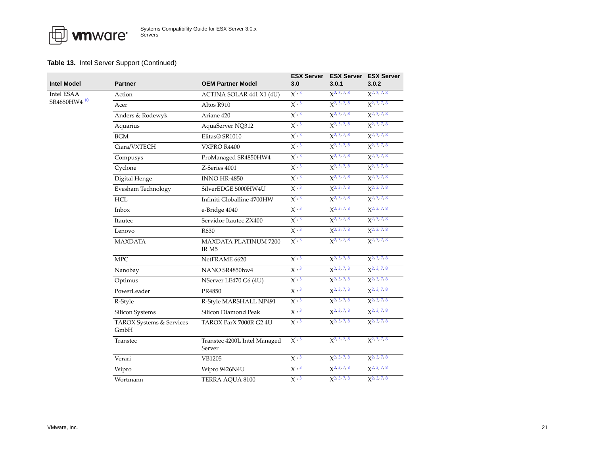| Intel Model             | <b>Partner</b>                   | <b>OEM Partner Model</b>                         | <b>ESX Server</b><br>3.0 | 3.0.1                   | <b>ESX Server</b> ESX Server<br>3.0.2 |
|-------------------------|----------------------------------|--------------------------------------------------|--------------------------|-------------------------|---------------------------------------|
| Intel ESAA              | Action                           | ACTINA SOLAR 441 X1 (4U)                         | $X^{1,3}$                | $X^2$ , 3, 7, 8         | $X^2$ , 3, 7, 8                       |
| SR4850HW4 <sup>10</sup> | Acer                             | Altos R910                                       | $X^{1,3}$                | $X2$ , 3, 7, 8          | $X2$ , 3, 7, 8                        |
|                         | Anders & Rodewyk                 | Ariane 420                                       | $X^{1,3}$                | $X^{2, 3, 7, 8}$        | X <sup>2, 3, 7, 8</sup>               |
|                         | Aquarius                         | AquaServer NQ312                                 | $X^{1, 3}$               | $X^2$ , 3, 7, 8         | $X^2$ , 3, 7, 8                       |
|                         | <b>BGM</b>                       | Elitas® SR1010                                   | $X^{1, 3}$               | $X2$ , 3, 7, 8          | X <sup>2, 3, 7, 8</sup>               |
|                         | Ciara/VXTECH                     | VXPRO R4400                                      | $X^{1,3}$                | $X^2$ , 3, 7, 8         | $X2$ , 3, 7, 8                        |
|                         | Compusys                         | ProManaged SR4850HW4                             | $X^{1,3}$                | $X^2$ , 3, 7, 8         | $X^2$ , 3, 7, 8                       |
|                         | Cyclone                          | Z-Series 4001                                    | $X^{1,3}$                | X <sup>2, 3, 7, 8</sup> | $X2$ , 3, 7, 8                        |
|                         | Digital Henge                    | <b>INNO HR-4850</b>                              | $X^{1,3}$                | X <sup>2, 3, 7, 8</sup> | X <sup>2, 3, 7, 8</sup>               |
|                         | Evesham Technology               | SilverEDGE 5000HW4U                              | $X^{1,3}$                | $X^2$ , 3, 7, 8         | $X^2$ , 3, 7, 8                       |
|                         | HCL                              | Infiniti Globalline 4700HW                       | $X^{1, 3}$               | $X2$ , 3, 7, 8          | $X2$ , 3, 7, 8                        |
|                         | Inbox                            | e-Bridge 4040                                    | $X^{1,3}$                | $X^2$ , 3, 7, 8         | $X2$ , 3, 7, 8                        |
|                         | Itautec                          | Servidor Itautec ZX400                           | $X^{1,3}$                | $X^2$ , 3, 7, 8         | $X^2$ , 3, 7, 8                       |
|                         | Lenovo                           | R630                                             | $X^{1,3}$                | X <sup>2, 3, 7, 8</sup> | $X2$ , 3, 7, 8                        |
|                         | <b>MAXDATA</b>                   | <b>MAXDATA PLATINUM 7200</b><br>IR <sub>M5</sub> | $X^{1,3}$                | $\chi^2$ , 3, 7, 8      | $X^2$ , 3, 7, 8                       |
|                         | <b>MPC</b>                       | NetFRAME 6620                                    | $X^{1,3}$                | $X^{2, 3, 7, 8}$        | $\chi^2$ , 3, 7, 8                    |
|                         | Nanobay                          | NANO SR4850hw4                                   | $X^{1,3}$                | $X^2$ , 3, 7, 8         | $X^2$ , 3, 7, 8                       |
|                         | Optimus                          | NServer LE470 G6 (4U)                            | $X^{1, 3}$               | $X2$ , 3, 7, 8          | $X2$ , 3, 7, 8                        |
|                         | PowerLeader                      | PR4850                                           | $X^{1,3}$                | X <sup>2, 3, 7, 8</sup> | $X2$ , 3, 7, 8                        |
|                         | R-Style                          | R-Style MARSHALL NP491                           | $X^{1,3}$                | $X^2$ , 3, 7, 8         | $X^2$ , 3, 7, 8                       |
|                         | Silicon Systems                  | Silicon Diamond Peak                             | $X^{1, 3}$               | X <sup>2, 3, 7, 8</sup> | $X2$ , 3, 7, 8                        |
|                         | TAROX Systems & Services<br>GmbH | TAROX ParX 7000R G2 4U                           | $X^{1,3}$                | $\chi^2$ , 3, 7, 8      | $X^2$ , 3, 7, 8                       |
|                         | Transtec                         | Transtec 4200L Intel Managed<br>Server           | $X^{1,3}$                | $X^{2, 3, 7, 8}$        | $X^2$ , 3, 7, 8                       |
|                         | Verari                           | VB1205                                           | $X^{1, 3}$               | $X^2$ , 3, 7, 8         | $X^{2, 3, 7, 8}$                      |
|                         | Wipro                            | Wipro 9426N4U                                    | $X^{1, 3}$               | $X^2$ , 3, 7, 8         | $X^2$ , 3, 7, 8                       |
|                         | Wortmann                         | TERRA AQUA 8100                                  | $X^{1, 3}$               | $X2$ , 3, 7, 8          | $X^2$ , 3, 7, 8                       |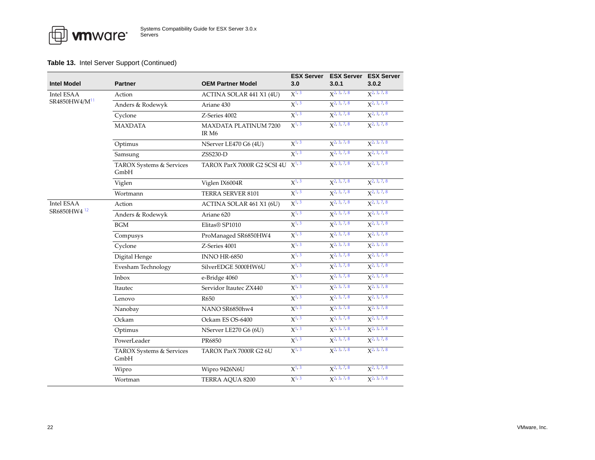| <b>Intel Model</b>        | <b>Partner</b>                   | <b>OEM Partner Model</b>                            | <b>ESX Server</b><br>3.0 | <b>ESX Server</b><br>3.0.1 | <b>ESX Server</b><br>3.0.2 |
|---------------------------|----------------------------------|-----------------------------------------------------|--------------------------|----------------------------|----------------------------|
| Intel ESAA                | Action                           | ACTINA SOLAR 441 X1 (4U)                            | $X^{1,3}$                | $X^{2,3,7,8}$              | $X^2$ , 3, 7, 8            |
| SR4850HW4/M <sup>11</sup> | Anders & Rodewyk                 | Ariane 430                                          | $X^{1, 3}$               | $X^{2,3,7,8}$              | $X2$ , 3, 7, 8             |
|                           | Cyclone                          | Z-Series 4002                                       | $X^{1,3}$                | $X^{2, 3, 7, 8}$           | $X2$ , 3, 7, 8             |
|                           | <b>MAXDATA</b>                   | $X^{1, 3}$<br><b>MAXDATA PLATINUM 7200</b><br>IR M6 |                          | $X^2$ , 3, 7, 8            | $X^2$ , 3, 7, 8            |
|                           | Optimus                          | NServer LE470 G6 (4U)                               | $X^{1, 3}$               | $X^2$ , 3, 7, 8            | $X^2$ , 3, 7, 8            |
|                           | Samsung                          | ZSS230-D                                            | $X^{1, 3}$               | $X2$ , 3, 7, 8             | $X2$ , 3, 7, 8             |
|                           | TAROX Systems & Services<br>GmbH | TAROX ParX 7000R G2 SCSI 4U<br>$X^{1,3}$            |                          | $\chi^2$ , 3, 7, 8         | $X^2$ , 3, 7, 8            |
|                           | Viglen                           | Viglen IX6004R                                      | $X^{1, 3}$               | $X^2$ , 3, 7, 8            | $X2$ , 3, 7, 8             |
|                           | Wortmann                         | TERRA SERVER 8101                                   | $X^{1,3}$                | $X^2$ , 3, 7, 8            | $X^{2,3,7,8}$              |
| Intel ESAA                | Action                           | ACTINA SOLAR 461 X1 (6U)                            | $X^{1, 3}$               | $X^2$ , 3, 7, 8            | $X2$ , 3, 7, 8             |
| SR6850HW4 <sup>12</sup>   | Anders & Rodewyk                 | Ariane 620                                          | $X^{1,3}$                | $X^{2, 3, 7, 8}$           | $X2$ , 3, 7, 8             |
|                           | <b>BGM</b>                       | Elitas® SP1010                                      | $X^{1,3}$                | $X^2$ , 3, 7, 8            | $X^2$ , 3, 7, 8            |
|                           | Compusys                         | ProManaged SR6850HW4                                | $X^{1,3}$                | $X^{2, 3, 7, 8}$           | X <sup>2, 3, 7, 8</sup>    |
|                           | Cyclone                          | Z-Series 4001                                       | $X^{1,3}$                | $X^{2, 3, 7, 8}$           | $X^2$ , 3, 7, 8            |
|                           | Digital Henge                    | <b>INNO HR-6850</b>                                 | $X^{1, 3}$               | $X^2$ , 3, 7, 8            | $X^2$ , 3, 7, 8            |
|                           | Evesham Technology               | SilverEDGE 5000HW6U                                 | $X^{1, 3}$               | $X2$ , 3, 7, 8             | $X2$ , 3, 7, 8             |
|                           | Inbox                            | e-Bridge 4060                                       | $X^{1,3}$                | $X^{2, 3, 7, 8}$           | $X^2$ , 3, 7, 8            |
|                           | Itautec                          | Servidor Itautec ZX440                              | $X^{1,3}$                | $X^2$ , 3, 7, 8            | $X^2$ , 3, 7, 8            |
|                           | Lenovo                           | R650                                                | $X^{1, 3}$               | X <sup>2, 3, 7, 8</sup>    | $X2$ , 3, 7, 8             |
|                           | Nanobay                          | NANO SR6850hw4                                      | $X^{1, 3}$               | $X2$ , 3, 7, 8             | $X^2$ , 3, 7, 8            |
|                           | Ockam                            | Ockam ES OS-6400                                    | $X^{1, 3}$               | $X^{2,3,7,8}$              | $X^2$ , 3, 7, 8            |
|                           | Optimus                          | NServer LE270 G6 (6U)                               | $X^{1, 3}$               | X <sup>2</sup> , 3, 7, 8   | $X2$ , 3, 7, 8             |
|                           | PowerLeader                      | PR6850                                              | $X^{1,3}$                | $X^{2, 3, 7, 8}$           | $X2$ , 3, 7, 8             |
|                           | TAROX Systems & Services<br>GmbH | TAROX ParX 7000R G2 6U                              | $X^{1, 3}$               | $X^2$ , 3, 7, 8            | $X^2$ , 3, 7, 8            |
|                           | Wipro                            | Wipro 9426N6U                                       | $X^{1,3}$                | $X^2$ , 3, 7, 8            | $X^{2, 3, 7, 8}$           |
|                           | Wortman                          | TERRA AOUA 8200                                     | $X^{1, 3}$               | $X^{2, 3, 7, 8}$           | $X^2$ , 3, 7, 8            |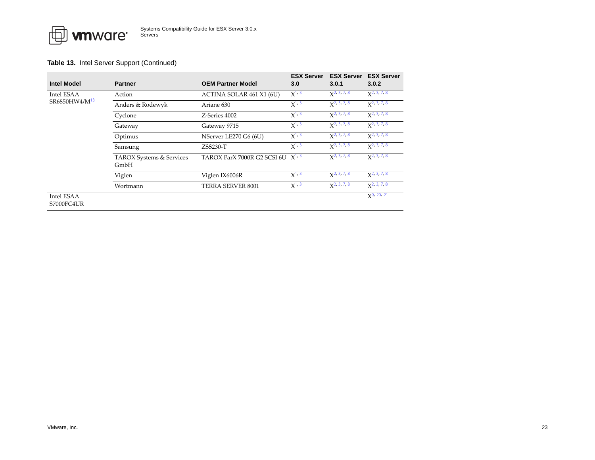| <b>Intel Model</b>        | <b>Partner</b>                   | <b>OEM Partner Model</b>              | <b>ESX Server</b><br>3.0 | <b>ESX Server</b><br>3.0.1    | <b>ESX Server</b><br>3.0.2    |
|---------------------------|----------------------------------|---------------------------------------|--------------------------|-------------------------------|-------------------------------|
| Intel ESAA                | Action                           | ACTINA SOLAR 461 X1 (6U)              | $X^{1,3}$                | $\chi$ <sup>2</sup> , 3, 7, 8 | $\chi^2$ , 3, 7, 8            |
| SR6850HW4/M <sup>13</sup> | Anders & Rodewyk                 | Ariane 630                            | $X^{1,3}$                | $\chi$ <sup>2</sup> , 3, 7, 8 | $\chi$ <sup>2</sup> , 3, 7, 8 |
|                           | Cyclone                          | Z-Series 4002                         | $X^{1,3}$                | $x^2$ , 3, 7, 8               | $\chi$ <sup>2</sup> , 3, 7, 8 |
|                           | Gateway                          | Gateway 9715                          | $X^{1, 3}$               | $\chi^2$ , 3, 7, 8            | $\chi^2$ , 3, 7, 8            |
|                           | Optimus                          | NServer LE270 G6 (6U)                 | $X^{1, 3}$               | $\chi$ <sup>2</sup> , 3, 7, 8 | $\chi$ <sup>2</sup> , 3, 7, 8 |
|                           | Samsung                          | $ZSS230-T$                            | $X^{1, 3}$               | $\chi^2$ , 3, 7, 8            | $\chi^2$ , 3, 7, 8            |
|                           | TAROX Systems & Services<br>GmbH | TAROX ParX 7000R G2 SCSI 6U $X^{1,3}$ |                          | $\chi^2$ , 3, 7, 8            | $x^2, 3, 7, 8$                |
|                           | Viglen                           | Viglen IX6006R                        | $X^{1,3}$                | $\chi^2$ , 3, 7, 8            | $\chi^2$ , 3, 7, 8            |
|                           | Wortmann                         | TERRA SERVER 8001                     | $X^{1,3}$                | $\chi^2$ , 3, 7, 8            | $x^2$ , 3, 7, 8               |
| Intel ESAA<br>S7000FC4UR  |                                  |                                       |                          |                               | $\chi$ <sup>9</sup> , 20, 21  |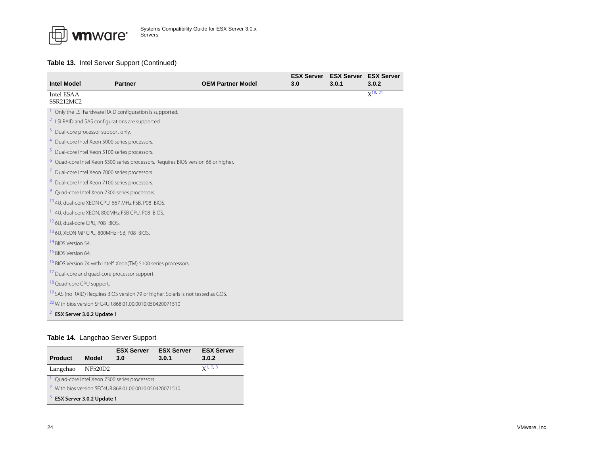

<span id="page-23-19"></span><span id="page-23-15"></span><span id="page-23-14"></span><span id="page-23-13"></span><span id="page-23-12"></span><span id="page-23-11"></span><span id="page-23-5"></span><span id="page-23-4"></span><span id="page-23-2"></span><span id="page-23-1"></span>

|                                                |                                                                                               |                          | <b>ESX Server</b> | <b>ESX Server</b> | <b>ESX Server</b> |  |  |  |
|------------------------------------------------|-----------------------------------------------------------------------------------------------|--------------------------|-------------------|-------------------|-------------------|--|--|--|
| <b>Intel Model</b>                             | <b>Partner</b>                                                                                | <b>OEM Partner Model</b> | 3.0               | 3.0.1             | 3.0.2             |  |  |  |
| <b>Intel ESAA</b>                              |                                                                                               |                          |                   |                   | $X^{18, 21}$      |  |  |  |
| SSR212MC2                                      |                                                                                               |                          |                   |                   |                   |  |  |  |
|                                                | Only the LSI hardware RAID configuration is supported.                                        |                          |                   |                   |                   |  |  |  |
|                                                | <sup>2</sup> LSI RAID and SAS configurations are supported                                    |                          |                   |                   |                   |  |  |  |
| <sup>3</sup> Dual-core processor support only. |                                                                                               |                          |                   |                   |                   |  |  |  |
|                                                | <sup>4</sup> Dual-core Intel Xeon 5000 series processors.                                     |                          |                   |                   |                   |  |  |  |
|                                                | <sup>5</sup> Dual-core Intel Xeon 5100 series processors.                                     |                          |                   |                   |                   |  |  |  |
|                                                | <sup>6</sup> Quad-core Intel Xeon 5300 series processors. Requires BIOS version 66 or higher. |                          |                   |                   |                   |  |  |  |
|                                                | 7 Dual-core Intel Xeon 7000 series processors.                                                |                          |                   |                   |                   |  |  |  |
|                                                | 8 Dual-core Intel Xeon 7100 series processors.                                                |                          |                   |                   |                   |  |  |  |
|                                                | <sup>9</sup> Quad-core Intel Xeon 7300 series processors.                                     |                          |                   |                   |                   |  |  |  |
|                                                | 10 4U, dual-core XEON CPU, 667 MHz FSB, P08 BIOS.                                             |                          |                   |                   |                   |  |  |  |
|                                                | <sup>11</sup> 4U, dual-core XEON, 800MHz FSB CPU, P08 BIOS.                                   |                          |                   |                   |                   |  |  |  |
| <sup>12</sup> 6U, dual-core CPU, P08 BIOS.     |                                                                                               |                          |                   |                   |                   |  |  |  |
|                                                | 13 6U, XEON MP CPU, 800MHz FSB, P08 BIOS.                                                     |                          |                   |                   |                   |  |  |  |
| <sup>14</sup> BIOS Version 54.                 |                                                                                               |                          |                   |                   |                   |  |  |  |
| <sup>15</sup> BIOS Version 64.                 |                                                                                               |                          |                   |                   |                   |  |  |  |
|                                                | <sup>16</sup> BIOS Version 74 with Intel <sup>®</sup> Xeon(TM) 5100 series processors.        |                          |                   |                   |                   |  |  |  |
|                                                | <sup>17</sup> Dual-core and quad-core processor support.                                      |                          |                   |                   |                   |  |  |  |
| <sup>18</sup> Quad-core CPU support.           |                                                                                               |                          |                   |                   |                   |  |  |  |
|                                                | <sup>19</sup> SAS (no RAID) Requires BIOS version 79 or higher. Solaris is not tested as GOS. |                          |                   |                   |                   |  |  |  |
|                                                | <sup>20</sup> With bios version SFC4UR.868.01.00.0010.050420071510                            |                          |                   |                   |                   |  |  |  |
| $21$ ESX Server 3.0.2 Update 1                 |                                                                                               |                          |                   |                   |                   |  |  |  |

### <span id="page-23-21"></span><span id="page-23-20"></span><span id="page-23-18"></span><span id="page-23-17"></span><span id="page-23-16"></span><span id="page-23-10"></span><span id="page-23-9"></span><span id="page-23-8"></span><span id="page-23-7"></span><span id="page-23-6"></span><span id="page-23-3"></span><span id="page-23-0"></span>**Table 14.** Langchao Server Support

<span id="page-23-24"></span><span id="page-23-23"></span><span id="page-23-22"></span>

| <b>Product</b>                                                    | Model | <b>ESX Server</b><br>3.0                     | <b>ESX Server</b><br>3.0.1 | <b>ESX Server</b><br>3.0.2 |
|-------------------------------------------------------------------|-------|----------------------------------------------|----------------------------|----------------------------|
| Langchao NF520D2                                                  |       |                                              |                            | $x^1$ , 2, 3               |
|                                                                   |       | Quad-core Intel Xeon 7300 series processors. |                            |                            |
| <sup>2</sup> With bios version SFC4UR.868.01.00.0010.050420071510 |       |                                              |                            |                            |
| <sup>3</sup> ESX Server 3.0.2 Update 1                            |       |                                              |                            |                            |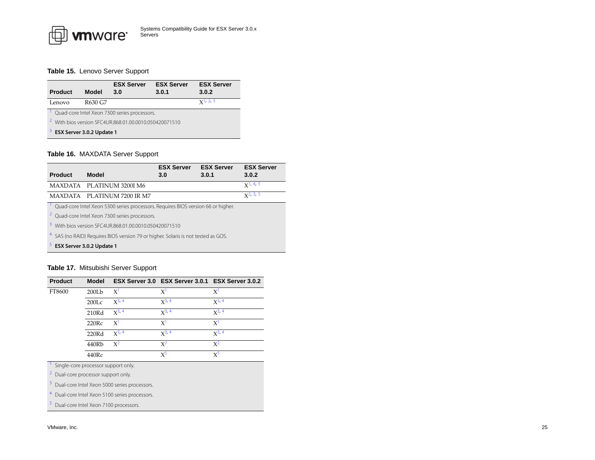#### <span id="page-24-1"></span>**Table 15.** Lenovo Server Support

<span id="page-24-13"></span>

| <b>Product</b>                                                    | <b>Model</b> | <b>ESX Server</b><br>3.0                     | <b>ESX Server</b><br>3.0.1 | <b>ESX Server</b><br>3.0.2 |  |
|-------------------------------------------------------------------|--------------|----------------------------------------------|----------------------------|----------------------------|--|
| Lenovo                                                            | R630 G7      |                                              |                            | $x^{1,2,3}$                |  |
|                                                                   |              | Quad-core Intel Xeon 7300 series processors. |                            |                            |  |
| <sup>2</sup> With bios version SEC4UR.868.01.00.0010.050420071510 |              |                                              |                            |                            |  |
| $3$ ESX Server 3.0.2 Update 1                                     |              |                                              |                            |                            |  |

#### <span id="page-24-15"></span><span id="page-24-14"></span><span id="page-24-2"></span>**Table 16.** MAXDATA Server Support

<span id="page-24-6"></span><span id="page-24-3"></span>

|                                                                                              |                                                                                               | <b>ESX Server</b> | <b>ESX Server</b> | <b>ESX Server</b> |  |
|----------------------------------------------------------------------------------------------|-----------------------------------------------------------------------------------------------|-------------------|-------------------|-------------------|--|
| <b>Product</b>                                                                               | Model                                                                                         | 3.0               | 3.0.1             | 3.0.2             |  |
|                                                                                              | MAXDATA PLATINUM 3200I M6                                                                     |                   |                   | $X^1$ , 4, 5      |  |
|                                                                                              | MAXDATA PLATINUM 7200 IR M7                                                                   |                   |                   | $x^2$ , 3, 5      |  |
|                                                                                              | <sup>1</sup> Quad-core Intel Xeon 5300 series processors. Requires BIOS version 66 or higher. |                   |                   |                   |  |
|                                                                                              | <sup>2</sup> Quad-core Intel Xeon 7300 series processors.                                     |                   |                   |                   |  |
| <sup>3</sup> With bios version SEC4UR.868.01.00.0010.050420071510                            |                                                                                               |                   |                   |                   |  |
| <sup>4</sup> SAS (no RAID) Requires BIOS version 79 or higher. Solaris is not tested as GOS. |                                                                                               |                   |                   |                   |  |
| ESX Server 3.0.2 Update 1                                                                    |                                                                                               |                   |                   |                   |  |

#### <span id="page-24-7"></span><span id="page-24-5"></span><span id="page-24-4"></span><span id="page-24-0"></span>**Table 17.** Mitsubishi Server Support

| <b>Product</b>                      | <b>Model</b>      |            | ESX Server 3.0 ESX Server 3.0.1 ESX Server 3.0.2 |            |
|-------------------------------------|-------------------|------------|--------------------------------------------------|------------|
| FT8600                              | 200Lb             | $X^1$      | $X^1$                                            | $X^1$      |
|                                     | 200 <sub>LC</sub> | $X^{3, 4}$ | $X^{3, 4}$                                       | $X^{3, 4}$ |
|                                     | 210Rd             | $X^{3, 4}$ | $X^{3, 4}$                                       | $X^{3, 4}$ |
|                                     | 220Rc             | $X^1$      | $X^1$                                            | $X^1$      |
|                                     | 220Rd             | $X^{3, 4}$ | $X^{3, 4}$                                       | $X^{3, 4}$ |
|                                     | 440Rb             | $X^2$      | $X^2$                                            | $X^2$      |
|                                     | 440Rc             |            | $X^5$                                            | $X^5$      |
| Single-core processor support only. |                   |            |                                                  |            |
| Dual-core processor support only.   |                   |            |                                                  |            |

<span id="page-24-11"></span><span id="page-24-9"></span><span id="page-24-8"></span>3Dual-core Intel Xeon 5000 series processors.

<span id="page-24-10"></span>4Dual-core Intel Xeon 5100 series processors.

<span id="page-24-12"></span>Dual-core Intel Xeon 7100 processors.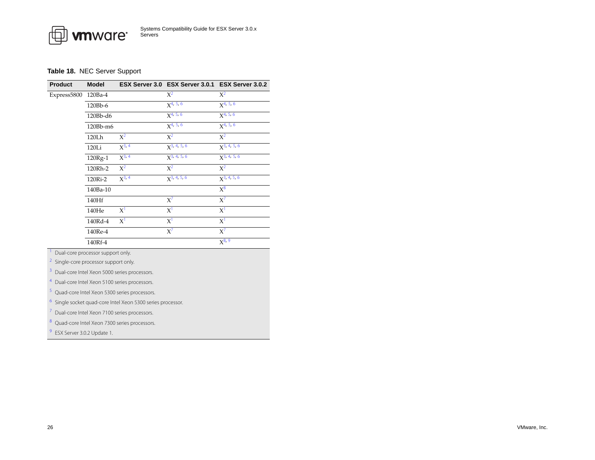#### <span id="page-25-0"></span>**Table 18.** NEC Server Support

| Product     | <b>Model</b> |            | ESX Server 3.0 ESX Server 3.0.1 ESX Server 3.0.2 |                          |
|-------------|--------------|------------|--------------------------------------------------|--------------------------|
| Express5800 | 120Ba-4      |            | $X^2$                                            | $X^2$                    |
|             | 120Bb-6      |            | $X^{4, 5, 6}$                                    | $x^{4, 5, 6}$            |
|             | 120Bb-d6     |            | $X^{4, 5, 6}$                                    | $X^{4, 5, 6}$            |
|             | 120Bb-m6     |            | $x^{4, 5, 6}$                                    | $X4$ , 5, 6              |
|             | 120Lh        | $X^2$      | $X^2$                                            | $X^2$                    |
|             | 120Li        | $X^{3, 4}$ | $x^{3, 4, 5, 6}$                                 | $X^{3, 4, 5, 6}$         |
|             | 120Rg-1      | $X^{3, 4}$ | $x^{3, 4, 5, 6}$                                 | $\overline{X^{3,4,5,6}}$ |
|             | 120Rh-2      | $X^2$      | $X^2$                                            | $X^2$                    |
|             | 120Ri-2      | $X^{3, 4}$ | $X^{3, 4, 5, 6}$                                 | $X^{3, 4, 5, 6}$         |
|             | 140Ba-10     |            |                                                  | $X^8$                    |
|             | 140Hf        |            | $X^7$                                            | $X^7$                    |
|             | 140He        | $X^1$      | $X^1$                                            | $X^1$                    |
|             | 140Rd-4      | $X^1$      | $X^1$                                            | $X^1$                    |
|             | 140Re-4      |            | $X^7$                                            | $X^7$                    |
|             | 140Rf-4      |            |                                                  | $X^{8, 9}$               |

<span id="page-25-8"></span>Dual-core processor support only.

<span id="page-25-3"></span>2Single-core processor support only.

<span id="page-25-1"></span>3Dual-core Intel Xeon 5000 series processors.

<span id="page-25-2"></span>4Dual-core Intel Xeon 5100 series processors.

<span id="page-25-4"></span>Quad-core Intel Xeon 5300 series processors.

<span id="page-25-5"></span>6Single socket quad-core Intel Xeon 5300 series processor.

<span id="page-25-7"></span>7Dual-core Intel Xeon 7100 series processors.

<span id="page-25-6"></span>Quad-core Intel Xeon 7300 series processors.

<span id="page-25-9"></span>9ESX Server 3.0.2 Update 1.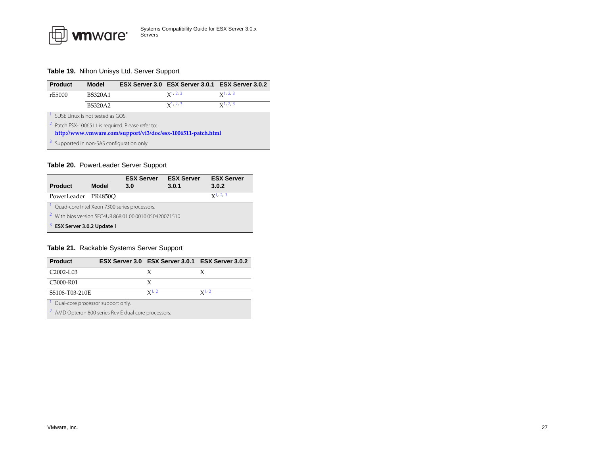#### <span id="page-26-0"></span>**Table 19.** Nihon Unisys Ltd. Server Support

<span id="page-26-3"></span>

| <b>Product</b>                                               | <b>Model</b>                                                 |  | ESX Server 3.0 ESX Server 3.0.1 ESX Server 3.0.2 |                      |  |
|--------------------------------------------------------------|--------------------------------------------------------------|--|--------------------------------------------------|----------------------|--|
| rE5000                                                       | <b>BS320A1</b>                                               |  | $x^{1,2,3}$                                      | $x^{1,2,3}$          |  |
|                                                              | <b>BS320A2</b>                                               |  | $x^{1,2,3}$                                      | $\mathbf{Y}^{1,2,3}$ |  |
|                                                              | SUSE Linux is not tested as GOS.                             |  |                                                  |                      |  |
|                                                              | <sup>2</sup> Patch ESX-1006511 is required. Please refer to: |  |                                                  |                      |  |
| http://www.vmware.com/support/vi3/doc/esx-1006511-patch.html |                                                              |  |                                                  |                      |  |
| Supported in non-SAS configuration only.                     |                                                              |  |                                                  |                      |  |

#### <span id="page-26-5"></span><span id="page-26-4"></span><span id="page-26-2"></span>**Table 20.** PowerLeader Server Support

<span id="page-26-8"></span>

|                                                                      |              | <b>ESX Server</b> | <b>ESX Server</b> | <b>ESX Server</b> |  |
|----------------------------------------------------------------------|--------------|-------------------|-------------------|-------------------|--|
| <b>Product</b>                                                       | <b>Model</b> | 3.0               | 3.0.1             | 3.0.2             |  |
| PowerLeader PR4850O                                                  |              |                   |                   | $x^{1,2,3}$       |  |
| Quad-core Intel Xeon 7300 series processors.                         |              |                   |                   |                   |  |
| $\mathbf{Z}$<br>With bios version SEC4UR.868.01.00.0010.050420071510 |              |                   |                   |                   |  |
| 3.<br>ESX Server 3.0.2 Update 1                                      |              |                   |                   |                   |  |

#### <span id="page-26-10"></span><span id="page-26-9"></span><span id="page-26-1"></span>**Table 21.** Rackable Systems Server Support

<span id="page-26-7"></span><span id="page-26-6"></span>

| <b>Product</b>                                     |  | ESX Server 3.0 ESX Server 3.0.1 ESX Server 3.0.2 |           |  |  |
|----------------------------------------------------|--|--------------------------------------------------|-----------|--|--|
| C <sub>2002</sub> -L <sub>03</sub>                 |  |                                                  |           |  |  |
| C3000-R01                                          |  |                                                  |           |  |  |
| S5108-T03-210E                                     |  | $x^{1,2}$                                        | $x^{1,2}$ |  |  |
| Dual-core processor support only.                  |  |                                                  |           |  |  |
| AMD Opteron 800 series Rev E dual core processors. |  |                                                  |           |  |  |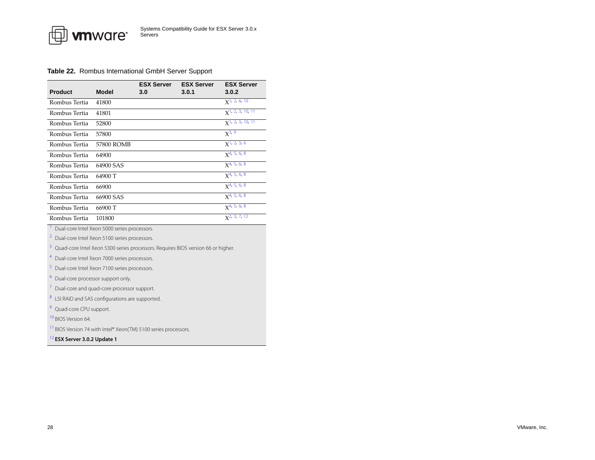#### <span id="page-27-0"></span>**Table 22.** Rombus International GmbH Server Support

<span id="page-27-12"></span><span id="page-27-11"></span><span id="page-27-10"></span><span id="page-27-9"></span><span id="page-27-8"></span><span id="page-27-7"></span><span id="page-27-6"></span><span id="page-27-5"></span><span id="page-27-4"></span><span id="page-27-3"></span><span id="page-27-2"></span><span id="page-27-1"></span>

| <b>Product</b>                                                                        | <b>Model</b>                                 | <b>ESX Server</b><br>3.0 | <b>ESX Server</b><br>3.0.1 | <b>ESX Server</b><br>3.0.2      |  |
|---------------------------------------------------------------------------------------|----------------------------------------------|--------------------------|----------------------------|---------------------------------|--|
| Rombus Tertia                                                                         | 41800                                        |                          |                            | $x1$ , 2, 6, 10                 |  |
| Rombus Tertia                                                                         | 41801                                        |                          |                            | $X1$ , 2, 3, 10, 11             |  |
| Rombus Tertia                                                                         | 52800                                        |                          |                            | $X$ <sup>1</sup> , 2, 3, 10, 11 |  |
| Rombus Tertia                                                                         | 57800                                        |                          |                            | $X^{3, 9}$                      |  |
| Rombus Tertia                                                                         | 57800 ROMB                                   |                          |                            | $x$ <sup>1</sup> , 2, 3, 6      |  |
| Rombus Tertia                                                                         | 64900                                        |                          |                            | $X4$ , 5, 6, 8                  |  |
| Rombus Tertia                                                                         | 64900 SAS                                    |                          |                            | $X^{4, 5, 6, 8}$                |  |
| Rombus Tertia                                                                         | 64900 T                                      |                          |                            | $X^{4, 5, 6, 8}$                |  |
| Rombus Tertia                                                                         | 66900                                        |                          |                            | $x^{4}, 5, 6, 8$                |  |
| Rombus Tertia                                                                         | 66900 SAS                                    |                          |                            | $x^{4, 5, 6, 8}$                |  |
| Rombus Tertia                                                                         | 66900 T                                      |                          |                            | $x^{4, 5, 6, 8}$                |  |
| Rombus Tertia                                                                         | 101800                                       |                          |                            | $X^2$ , 3, 7, 12                |  |
| Dual-core Intel Xeon 5000 series processors.                                          |                                              |                          |                            |                                 |  |
| $\overline{a}$<br>Dual-core Intel Xeon 5100 series processors.                        |                                              |                          |                            |                                 |  |
| 3<br>Quad-core Intel Xeon 5300 series processors. Requires BIOS version 66 or higher. |                                              |                          |                            |                                 |  |
| Dual-core Intel Xeon 7000 series processors.                                          |                                              |                          |                            |                                 |  |
| 5                                                                                     | Dual-core Intel Xeon 7100 series processors. |                          |                            |                                 |  |
| 6<br>Dual-core processor support only.                                                |                                              |                          |                            |                                 |  |
| 7<br>Dual-core and quad-core processor support.                                       |                                              |                          |                            |                                 |  |
| 8<br>LSI RAID and SAS configurations are supported.                                   |                                              |                          |                            |                                 |  |
| 9<br>Quad-core CPU support.                                                           |                                              |                          |                            |                                 |  |
| <sup>10</sup> BIOS Version 64.                                                        |                                              |                          |                            |                                 |  |
| <sup>11</sup> BIOS Version 74 with Intel® Xeon(TM) 5100 series processors.            |                                              |                          |                            |                                 |  |
| <sup>12</sup> ESX Server 3.0.2 Update 1                                               |                                              |                          |                            |                                 |  |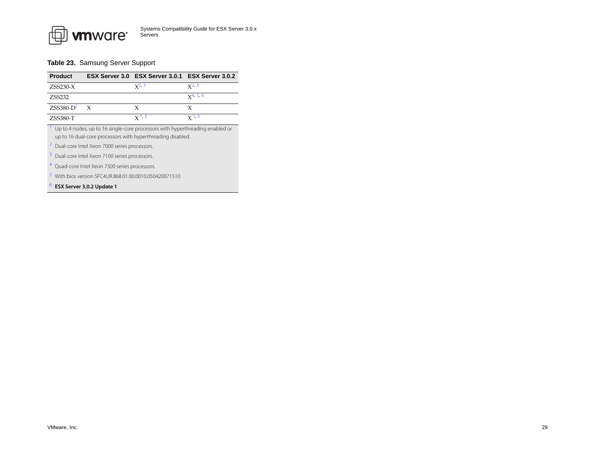

#### <span id="page-28-0"></span>**Table 23.** Samsung Server Support

| <b>Product</b>                                                                |              | ESX Server 3.0 ESX Server 3.0.1 ESX Server 3.0.2 |               |  |
|-------------------------------------------------------------------------------|--------------|--------------------------------------------------|---------------|--|
| $ZSS230-X$                                                                    |              | $x^{2,3}$                                        | $x^{2,3}$     |  |
| ZSS232                                                                        |              |                                                  | $x^{4, 5, 6}$ |  |
| $ZSS380-D$ <sup>1</sup>                                                       | $\mathbf{x}$ | x                                                |               |  |
| $ZSS380-T$                                                                    |              | $X^{1,3}$                                        | $X^{1,3}$     |  |
| Up to 4 nodes, up to 16 single-core processors with hyperthreading enabled or |              |                                                  |               |  |

<span id="page-28-3"></span>up to 16 dual-core processors with hyperthreading disabled.

<span id="page-28-1"></span>2Dual-core Intel Xeon 7000 series processors.

<span id="page-28-2"></span>3Dual-core Intel Xeon 7100 series processors.

<span id="page-28-4"></span>4Quad-core Intel Xeon 7300 series processors.

<span id="page-28-5"></span><sup>3</sup> With bios version SFC4UR.868.01.00.0010.050420071510

<span id="page-28-6"></span>6**ESX Server 3.0.2 Update 1**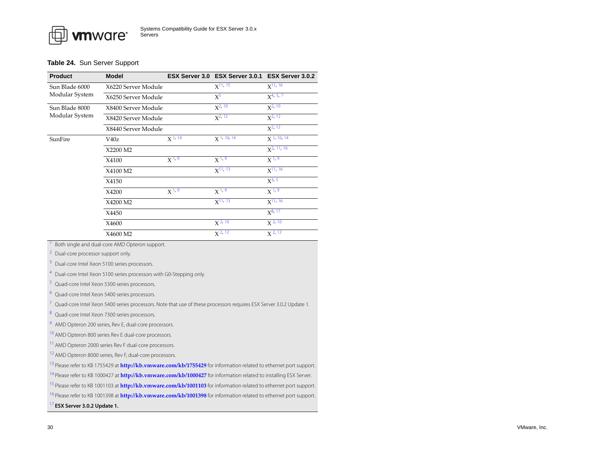#### <span id="page-29-0"></span>**Table 24.** Sun Server Support

| <b>Product</b> | <b>Model</b>        |             | ESX Server 3.0 ESX Server 3.0.1 ESX Server 3.0.2 |                  |
|----------------|---------------------|-------------|--------------------------------------------------|------------------|
| Sun Blade 6000 | X6220 Server Module |             | $X^{11, 15}$                                     | $X^{11, 16}$     |
| Modular System | X6250 Server Module |             | $X^5$                                            | $X^{4, 5, 7}$    |
| Sun Blade 8000 | X8400 Server Module |             | $X^2$ , 10                                       | $X^2$ , 10       |
| Modular System | X8420 Server Module |             | $x^{2, 12}$                                      | $X^{2, 12}$      |
|                | X8440 Server Module |             |                                                  | $X^{2, 12}$      |
| SunFire        | V40z                | $X^{1, 14}$ | $X$ <sup>1, 10, 14</sup>                         | $\chi$ 1, 10, 14 |
|                | X2200 M2            |             |                                                  | $x^2$ , 11, 16   |
|                | X4100               | $X^{1, 9}$  | $X^{1, 9}$                                       | $X^{1, 9}$       |
|                | X4100 M2            |             | $X^{11, 13}$                                     | $X^{11, 16}$     |
|                | X4150               |             |                                                  | $x^{3, 5}$       |
|                | X4200               | $X^{1,9}$   | $X^{1,9}$                                        | $X^{1,9}$        |
|                | X4200 M2            |             | $X^{11, 13}$                                     | $X^{11, 16}$     |
|                | X4450               |             |                                                  | $X^{8, 17}$      |
|                | X4600               |             | $X^{2, 10}$                                      | $X^{2, 10}$      |
|                | X4600 M2            |             | $X^{2,12}$                                       | $X^{2,12}$       |

<span id="page-29-10"></span>Both single and dual-core AMD Opteron support.

<span id="page-29-7"></span>2Dual-core processor support only.

<span id="page-29-14"></span>3Dual-core Intel Xeon 5100 series processors.

<span id="page-29-5"></span>4Dual-core Intel Xeon 5100 series processors with G0-Stepping only.

<span id="page-29-4"></span>Quad-core Intel Xeon 5300 series processors.

Quad-core Intel Xeon 5400 series processors.

<span id="page-29-6"></span>7Quad-core Intel Xeon 5400 series processors. Note that use of these processors requires ESX Server 3.0.2 Update 1.

<span id="page-29-15"></span>Quad-core Intel Xeon 7300 series processors.

<span id="page-29-12"></span>9AMD Opteron 200 series, Rev E, dual-core processors.

<span id="page-29-8"></span><sup>10</sup> AMD Opteron 800 series Rev E dual-core processors.

<span id="page-29-1"></span><sup>11</sup> AMD Opteron 2000 series Rev F dual-core processors.

<span id="page-29-9"></span><sup>12</sup> AMD Opteron 8000 series, Rev F, dual-core processors.

<span id="page-29-13"></span>13 [Please refer to KB 1755429 at](http://kb.vmware.com/kb/1755429) **http://kb.vmware.com/kb/1755429** for information related to ethernet port support.

<span id="page-29-11"></span>14 Please refer to KB 1000427 at **<http://kb.vmware.com/kb/1000427>** for information related to installing ESX Server.

<span id="page-29-2"></span><sup>15</sup> Please refer to KB 1001103 at **<http://kb.vmware.com/kb/1001103>** for information related to ethernet port support.

<span id="page-29-3"></span>16 Please refer to KB 1001398 at **<http://kb.vmware.com/kb/1001398>** for information related to ethernet port support.

<span id="page-29-16"></span>17 **ESX Server 3.0.2 Update 1.**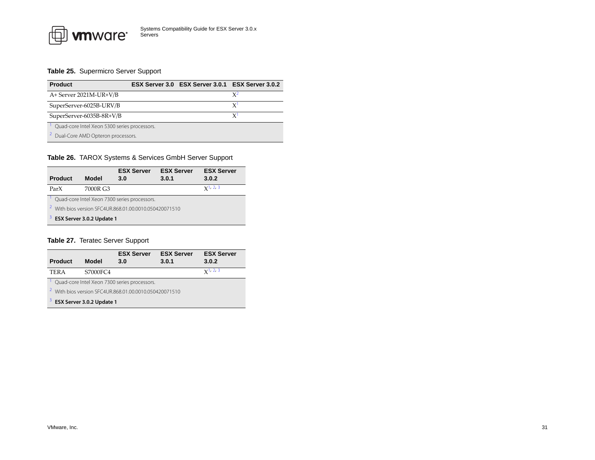

#### <span id="page-30-1"></span>**Table 25.** Supermicro Server Support

| <b>Product</b>                                 |  | ESX Server 3.0 ESX Server 3.0.1 ESX Server 3.0.2 |    |
|------------------------------------------------|--|--------------------------------------------------|----|
| A+ Server 2021M-UR+V/B                         |  |                                                  | χ2 |
| SuperServer-6025B-URV/B                        |  |                                                  |    |
| SuperServer-6035B-8R+V/B                       |  |                                                  |    |
| Quad-core Intel Xeon 5300 series processors.   |  |                                                  |    |
| <sup>2</sup> Dual-Core AMD Opteron processors. |  |                                                  |    |

#### <span id="page-30-4"></span><span id="page-30-3"></span><span id="page-30-0"></span>**Table 26.** TAROX Systems & Services GmbH Server Support

<span id="page-30-8"></span>

| Product                                                           | Model    | <b>ESX Server</b><br>3.0 | <b>ESX Server</b><br>3.0.1 | <b>ESX Server</b><br>3.0.2 |  |
|-------------------------------------------------------------------|----------|--------------------------|----------------------------|----------------------------|--|
| ParX                                                              | 7000R G3 |                          |                            | $x^1$ , 2, 3               |  |
| Quad-core Intel Xeon 7300 series processors.                      |          |                          |                            |                            |  |
| <sup>2</sup> With bios version SEC4UR.868.01.00.0010.050420071510 |          |                          |                            |                            |  |
| 3.<br>ESX Server 3.0.2 Update 1                                   |          |                          |                            |                            |  |

#### <span id="page-30-10"></span><span id="page-30-9"></span><span id="page-30-2"></span>**Table 27.** Teratec Server Support

<span id="page-30-7"></span><span id="page-30-6"></span><span id="page-30-5"></span>

| <b>Product</b>                                                    | Model    | <b>ESX Server</b><br>3.0 | <b>ESX Server</b><br>3.0.1 | <b>ESX Server</b><br>3.0.2 |  |
|-------------------------------------------------------------------|----------|--------------------------|----------------------------|----------------------------|--|
| <b>TERA</b>                                                       | S7000FC4 |                          |                            | $x^{1,2,3}$                |  |
| Quad-core Intel Xeon 7300 series processors.                      |          |                          |                            |                            |  |
| <sup>2</sup> With bios version SFC4UR.868.01.00.0010.050420071510 |          |                          |                            |                            |  |
| <sup>3</sup> ESX Server 3.0.2 Update 1                            |          |                          |                            |                            |  |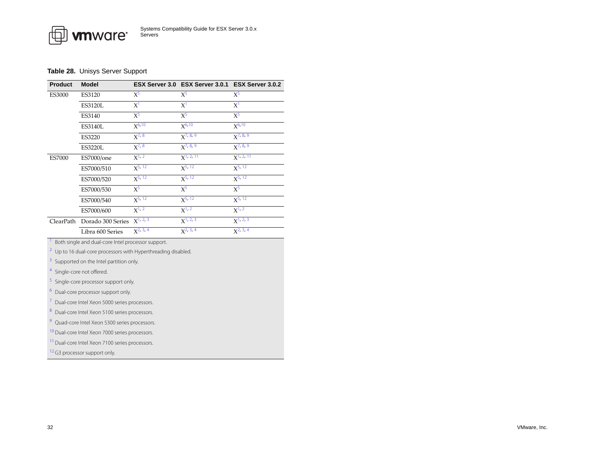### <span id="page-31-0"></span>**Table 28.** Unisys Server Support

| <b>Product</b>                                             | <b>Model</b>                                                             |              | ESX Server 3.0 ESX Server 3.0.1 | ESX Server 3.0.2 |  |  |
|------------------------------------------------------------|--------------------------------------------------------------------------|--------------|---------------------------------|------------------|--|--|
| ES3000                                                     | ES3120                                                                   | $X^5$        | $X^5$                           | $X^5$            |  |  |
|                                                            | <b>ES3120L</b>                                                           | $X^1$        | $X^1$                           | $X^1$            |  |  |
|                                                            | ES3140                                                                   | $X^5$        | $X^5$                           | $X^5$            |  |  |
|                                                            | ES3140L                                                                  | $X^{6,10}$   | $X^{6,10}$                      | $X^{6,10}$       |  |  |
|                                                            | ES3220                                                                   | $X^{7, 8}$   | $X^{7, 8, 9}$                   | $X^{7, 8, 9}$    |  |  |
|                                                            | <b>ES3220L</b>                                                           | $X^{7, 8}$   | $X^{7, 8, 9}$                   | $X^{7, 8, 9}$    |  |  |
| <b>ES7000</b>                                              | ES7000/one                                                               | $X^{1,2}$    | $X1$ , 2, 11                    | $X^{1, 2, 11}$   |  |  |
|                                                            | ES7000/510                                                               | $X^{5, 12}$  | $X^{5, 12}$                     | $X^{5, 12}$      |  |  |
|                                                            | ES7000/520                                                               | $X^{5, 12}$  | $X^{5, 12}$                     | $X^{5, 12}$      |  |  |
|                                                            | ES7000/530                                                               | $X^5$        | $X^5$                           | $X^5$            |  |  |
|                                                            | ES7000/540                                                               | $X^{5, 12}$  | $X^{5, 12}$                     | $X^{5, 12}$      |  |  |
|                                                            | ES7000/600                                                               | $X^{1, 2}$   | $X^{1,2}$                       | $X^{1,2}$        |  |  |
| ClearPath                                                  | Dorado 300 Series                                                        | $X^{1,2,3}$  | $X^{1,2,3}$                     | $X^{1,2,3}$      |  |  |
|                                                            | Libra 600 Series                                                         | $X^2$ , 3, 4 | $X^2$ , 3, 4                    | $X^2$ , 3, 4     |  |  |
| Both single and dual-core Intel processor support.         |                                                                          |              |                                 |                  |  |  |
|                                                            | <sup>2</sup> Up to 16 dual-core processors with Hyperthreading disabled. |              |                                 |                  |  |  |
| 3                                                          | Supported on the Intel partition only.                                   |              |                                 |                  |  |  |
|                                                            | <sup>4</sup> Single-core not offered.                                    |              |                                 |                  |  |  |
| 5.                                                         | Single-core processor support only.                                      |              |                                 |                  |  |  |
| 6                                                          | Dual-core processor support only.                                        |              |                                 |                  |  |  |
| 7<br>Dual-core Intel Xeon 5000 series processors.          |                                                                          |              |                                 |                  |  |  |
| 8<br>Dual-core Intel Xeon 5100 series processors.          |                                                                          |              |                                 |                  |  |  |
| <sup>9</sup> Quad-core Intel Xeon 5300 series processors.  |                                                                          |              |                                 |                  |  |  |
| <sup>10</sup> Dual-core Intel Xeon 7000 series processors. |                                                                          |              |                                 |                  |  |  |
| <sup>11</sup> Dual-core Intel Xeon 7100 series processors. |                                                                          |              |                                 |                  |  |  |

<span id="page-31-12"></span><span id="page-31-11"></span><span id="page-31-10"></span><span id="page-31-9"></span><span id="page-31-8"></span><span id="page-31-7"></span><span id="page-31-6"></span><span id="page-31-5"></span><span id="page-31-4"></span><span id="page-31-3"></span><span id="page-31-2"></span><span id="page-31-1"></span><sup>12</sup> G3 processor support only.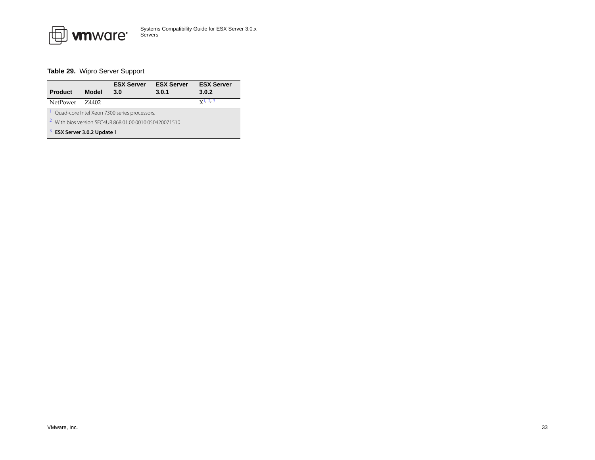

### <span id="page-32-0"></span>**Table 29.** Wipro Server Support

<span id="page-32-3"></span><span id="page-32-2"></span><span id="page-32-1"></span>

| Product                                                           | Model  | <b>ESX Server</b><br>3.0 | <b>ESX Server</b><br>3.0.1 | <b>ESX Server</b><br>3.0.2 |  |
|-------------------------------------------------------------------|--------|--------------------------|----------------------------|----------------------------|--|
| <b>NetPower</b>                                                   | 7.4402 |                          |                            | $x^{1,2,3}$                |  |
| Quad-core Intel Xeon 7300 series processors.                      |        |                          |                            |                            |  |
| <sup>2</sup> With bios version SEC4UR.868.01.00.0010.050420071510 |        |                          |                            |                            |  |
| <sup>3</sup> ESX Server 3.0.2 Update 1                            |        |                          |                            |                            |  |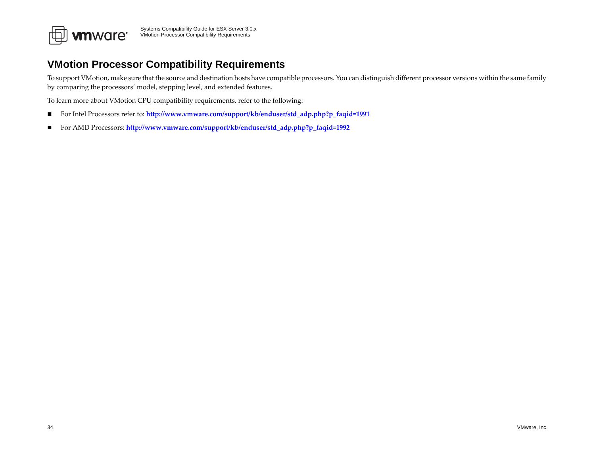

# <span id="page-33-0"></span>**VMotion Processor Compatibility Requirements**

To suppor<sup>t</sup> VMotion, make sure that the source and destination hosts have compatible processors. You can distinguish different processor versions within the same family by comparing the processors' model, stepping level, and extended features.

To learn more about VMotion CPU compatibility requirements, refer to the following:

- $\blacksquare$ For Intel Processors refer to: **[http://www.vmware.com/support/kb/enduser/std\\_adp.php?p\\_faqid=1991](http://www.vmware.com/support/kb/enduser/std_adp.php?p_faqid=1991)**
- $\blacksquare$ For AMD Processors: **[http://www.vmware.com/support/kb/enduser/std\\_adp.php?p\\_faqid=1992](http://www.vmware.com/support/kb/enduser/std_adp.php?p_faqid=1992)**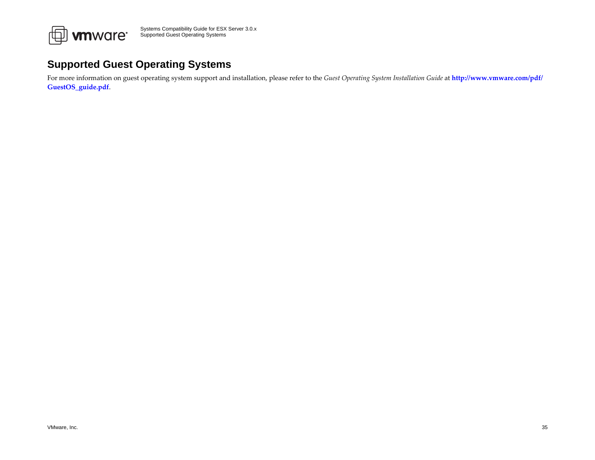

# <span id="page-34-0"></span>**Supported Guest Operating Systems**

For more information on gues<sup>t</sup> operating system suppor<sup>t</sup> and installation, please refer to the *Guest Operating System Installation Guide* at **[http://www.vmware.com/pdf/](http://www.vmware.com/pdf/GuestOS_guide.pdf) [GuestOS\\_guide.pdf](http://www.vmware.com/pdf/GuestOS_guide.pdf)**.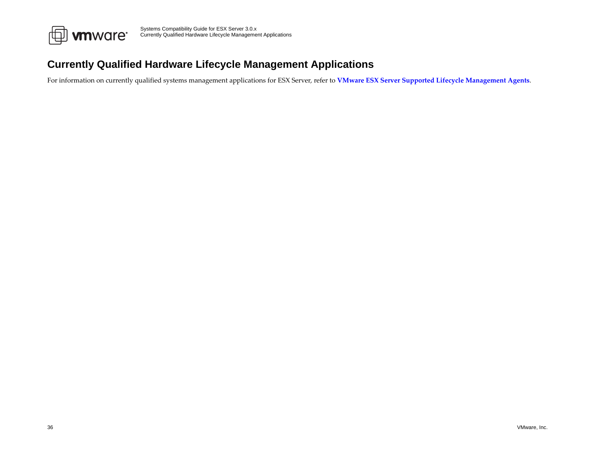

# <span id="page-35-0"></span>**Currently Qualified Hardware Lifecycle Management Applications**

For information on currently qualified systems managemen<sup>t</sup> applications for ESX Server, refer to **VMware ESX Server Supported Lifecycle [Management](http://www.vmware.com/support/esx25/doc/sys_mgmt_links.html) Agents**.